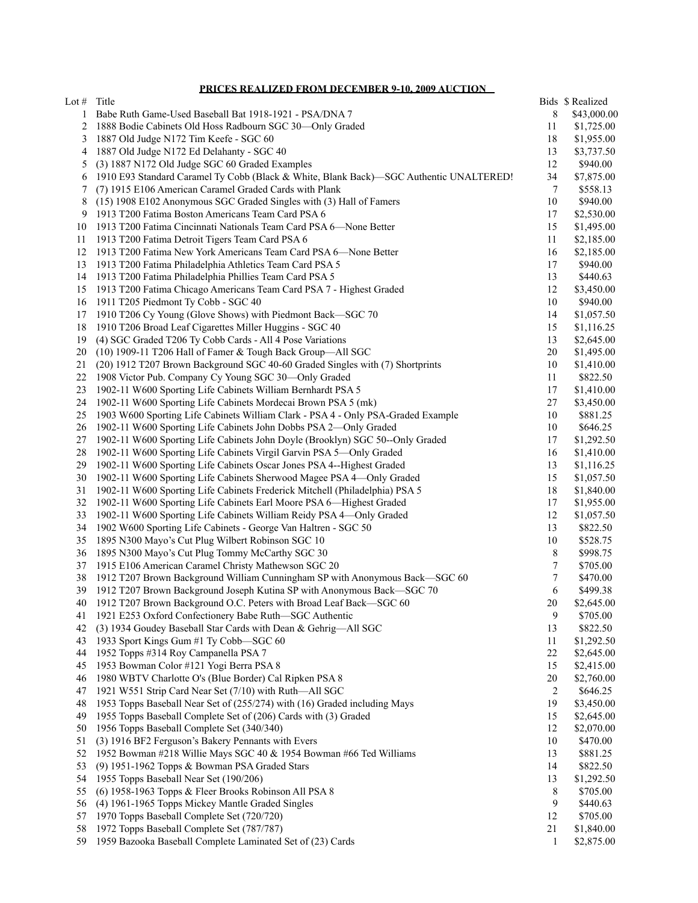**PRICES REALIZED FROM DECEMBER 9-10, 2009 AUCTION**

| Lot # | Title                                                                                                                                       |                 | Bids \$ Realized |
|-------|---------------------------------------------------------------------------------------------------------------------------------------------|-----------------|------------------|
| 1     | Babe Ruth Game-Used Baseball Bat 1918-1921 - PSA/DNA 7                                                                                      | 8               | \$43,000.00      |
| 2     | 1888 Bodie Cabinets Old Hoss Radbourn SGC 30-Only Graded                                                                                    | 11              | \$1,725.00       |
| 3     | 1887 Old Judge N172 Tim Keefe - SGC 60                                                                                                      | 18              | \$1,955.00       |
| 4     | 1887 Old Judge N172 Ed Delahanty - SGC 40                                                                                                   | 13              | \$3,737.50       |
| 5     | (3) 1887 N172 Old Judge SGC 60 Graded Examples                                                                                              | 12              | \$940.00         |
| 6     | 1910 E93 Standard Caramel Ty Cobb (Black & White, Blank Back)—SGC Authentic UNALTERED!                                                      | 34              | \$7,875.00       |
| 7     | (7) 1915 E106 American Caramel Graded Cards with Plank                                                                                      | $7\phantom{.0}$ | \$558.13         |
| 8     | (15) 1908 E102 Anonymous SGC Graded Singles with (3) Hall of Famers                                                                         | 10              | \$940.00         |
| 9     | 1913 T200 Fatima Boston Americans Team Card PSA 6                                                                                           | 17              | \$2,530.00       |
| 10    | 1913 T200 Fatima Cincinnati Nationals Team Card PSA 6-None Better                                                                           | 15              | \$1,495.00       |
| 11    | 1913 T200 Fatima Detroit Tigers Team Card PSA 6                                                                                             | 11              | \$2,185.00       |
| 12    | 1913 T200 Fatima New York Americans Team Card PSA 6-None Better                                                                             | 16              | \$2,185.00       |
| 13    | 1913 T200 Fatima Philadelphia Athletics Team Card PSA 5                                                                                     | 17              | \$940.00         |
| 14    | 1913 T200 Fatima Philadelphia Phillies Team Card PSA 5                                                                                      | 13              | \$440.63         |
| 15    | 1913 T200 Fatima Chicago Americans Team Card PSA 7 - Highest Graded                                                                         | 12              | \$3,450.00       |
| 16    | 1911 T205 Piedmont Ty Cobb - SGC 40                                                                                                         | 10              | \$940.00         |
| 17    | 1910 T206 Cy Young (Glove Shows) with Piedmont Back-SGC 70                                                                                  | 14              | \$1,057.50       |
| 18    | 1910 T206 Broad Leaf Cigarettes Miller Huggins - SGC 40                                                                                     | 15              | \$1,116.25       |
| 19    | (4) SGC Graded T206 Ty Cobb Cards - All 4 Pose Variations                                                                                   | 13              |                  |
| 20    |                                                                                                                                             | 20              | \$2,645.00       |
|       | (10) 1909-11 T206 Hall of Famer & Tough Back Group—All SGC<br>(20) 1912 T207 Brown Background SGC 40-60 Graded Singles with (7) Shortprints |                 | \$1,495.00       |
| 21    |                                                                                                                                             | 10              | \$1,410.00       |
| 22    | 1908 Victor Pub. Company Cy Young SGC 30-Only Graded                                                                                        | 11              | \$822.50         |
| 23    | 1902-11 W600 Sporting Life Cabinets William Bernhardt PSA 5                                                                                 | 17              | \$1,410.00       |
| 24    | 1902-11 W600 Sporting Life Cabinets Mordecai Brown PSA 5 (mk)                                                                               | 27              | \$3,450.00       |
| 25    | 1903 W600 Sporting Life Cabinets William Clark - PSA 4 - Only PSA-Graded Example                                                            | 10              | \$881.25         |
| 26    | 1902-11 W600 Sporting Life Cabinets John Dobbs PSA 2-Only Graded                                                                            | 10              | \$646.25         |
| 27    | 1902-11 W600 Sporting Life Cabinets John Doyle (Brooklyn) SGC 50--Only Graded                                                               | 17              | \$1,292.50       |
| 28    | 1902-11 W600 Sporting Life Cabinets Virgil Garvin PSA 5-Only Graded                                                                         | 16              | \$1,410.00       |
| 29    | 1902-11 W600 Sporting Life Cabinets Oscar Jones PSA 4--Highest Graded                                                                       | 13              | \$1,116.25       |
| 30    | 1902-11 W600 Sporting Life Cabinets Sherwood Magee PSA 4-Only Graded                                                                        | 15              | \$1,057.50       |
| 31    | 1902-11 W600 Sporting Life Cabinets Frederick Mitchell (Philadelphia) PSA 5                                                                 | 18              | \$1,840.00       |
| 32    | 1902-11 W600 Sporting Life Cabinets Earl Moore PSA 6-Highest Graded                                                                         | 17              | \$1,955.00       |
| 33    | 1902-11 W600 Sporting Life Cabinets William Reidy PSA 4-Only Graded                                                                         | 12              | \$1,057.50       |
| 34    | 1902 W600 Sporting Life Cabinets - George Van Haltren - SGC 50                                                                              | 13              | \$822.50         |
| 35    | 1895 N300 Mayo's Cut Plug Wilbert Robinson SGC 10                                                                                           | 10              | \$528.75         |
| 36    | 1895 N300 Mayo's Cut Plug Tommy McCarthy SGC 30                                                                                             | 8               | \$998.75         |
| 37    | 1915 E106 American Caramel Christy Mathewson SGC 20                                                                                         | 7               | \$705.00         |
| 38    | 1912 T207 Brown Background William Cunningham SP with Anonymous Back-SGC 60                                                                 | 7               | \$470.00         |
| 39    | 1912 T207 Brown Background Joseph Kutina SP with Anonymous Back-SGC 70                                                                      | 6               | \$499.38         |
| 40    | 1912 T207 Brown Background O.C. Peters with Broad Leaf Back-SGC 60                                                                          | 20              | \$2,645.00       |
| 41    | 1921 E253 Oxford Confectionery Babe Ruth-SGC Authentic                                                                                      | 9               | \$705.00         |
| 42    | (3) 1934 Goudey Baseball Star Cards with Dean & Gehrig-All SGC                                                                              | 13              | \$822.50         |
| 43    | 1933 Sport Kings Gum #1 Ty Cobb-SGC 60                                                                                                      | 11              | \$1,292.50       |
| 44    | 1952 Topps #314 Roy Campanella PSA 7                                                                                                        | 22              | \$2,645.00       |
| 45    | 1953 Bowman Color #121 Yogi Berra PSA 8                                                                                                     | 15              | \$2,415.00       |
| 46    | 1980 WBTV Charlotte O's (Blue Border) Cal Ripken PSA 8                                                                                      | 20              | \$2,760.00       |
| 47    | 1921 W551 Strip Card Near Set (7/10) with Ruth-All SGC                                                                                      | 2               | \$646.25         |
| 48    | 1953 Topps Baseball Near Set of (255/274) with (16) Graded including Mays                                                                   | 19              | \$3,450.00       |
| 49    | 1955 Topps Baseball Complete Set of (206) Cards with (3) Graded                                                                             | 15              | \$2,645.00       |
| 50    | 1956 Topps Baseball Complete Set (340/340)                                                                                                  | 12              | \$2,070.00       |
| 51    | (3) 1916 BF2 Ferguson's Bakery Pennants with Evers                                                                                          | 10              | \$470.00         |
| 52    | 1952 Bowman #218 Willie Mays SGC 40 & 1954 Bowman #66 Ted Williams                                                                          | 13              | \$881.25         |
| 53    | (9) 1951-1962 Topps & Bowman PSA Graded Stars                                                                                               | 14              | \$822.50         |
| 54    | 1955 Topps Baseball Near Set (190/206)                                                                                                      | 13              | \$1,292.50       |
| 55    | (6) 1958-1963 Topps & Fleer Brooks Robinson All PSA 8                                                                                       | 8               | \$705.00         |
| 56    | (4) 1961-1965 Topps Mickey Mantle Graded Singles                                                                                            | 9               | \$440.63         |
| 57    | 1970 Topps Baseball Complete Set (720/720)                                                                                                  | 12              | \$705.00         |
| 58    | 1972 Topps Baseball Complete Set (787/787)                                                                                                  | 21              | \$1,840.00       |
| 59    | 1959 Bazooka Baseball Complete Laminated Set of (23) Cards                                                                                  | 1               | \$2,875.00       |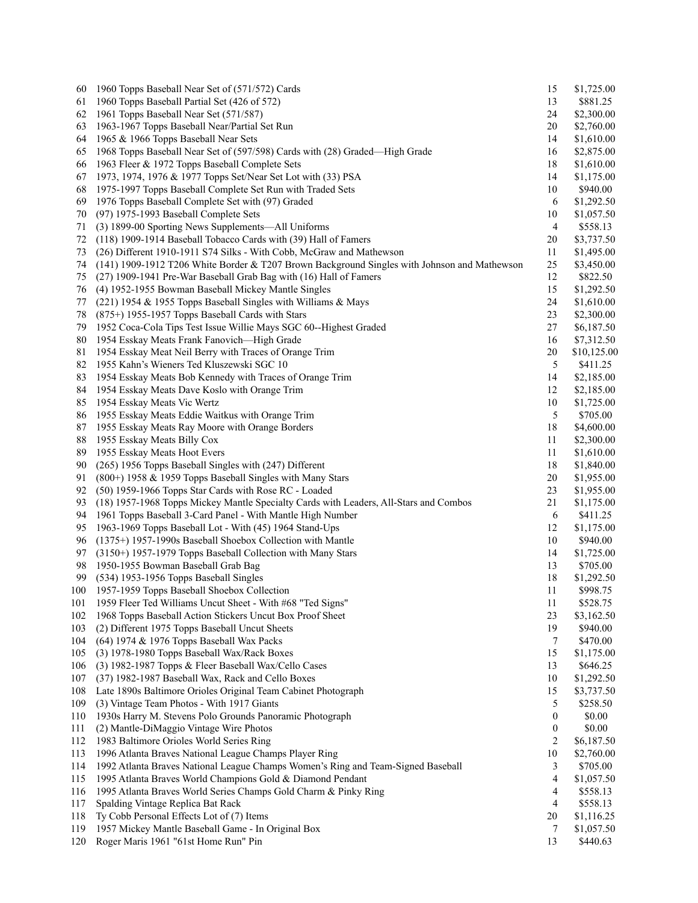| 60  | 1960 Topps Baseball Near Set of (571/572) Cards                                              | 15 | \$1,725.00  |
|-----|----------------------------------------------------------------------------------------------|----|-------------|
| 61  | 1960 Topps Baseball Partial Set (426 of 572)                                                 | 13 | \$881.25    |
| 62  | 1961 Topps Baseball Near Set (571/587)                                                       | 24 | \$2,300.00  |
| 63  | 1963-1967 Topps Baseball Near/Partial Set Run                                                | 20 | \$2,760.00  |
| 64  | 1965 & 1966 Topps Baseball Near Sets                                                         | 14 | \$1,610.00  |
| 65  | 1968 Topps Baseball Near Set of (597/598) Cards with (28) Graded-High Grade                  | 16 | \$2,875.00  |
| 66  | 1963 Fleer & 1972 Topps Baseball Complete Sets                                               | 18 | \$1,610.00  |
| 67  | 1973, 1974, 1976 & 1977 Topps Set/Near Set Lot with (33) PSA                                 | 14 | \$1,175.00  |
| 68  | 1975-1997 Topps Baseball Complete Set Run with Traded Sets                                   | 10 | \$940.00    |
| 69  | 1976 Topps Baseball Complete Set with (97) Graded                                            | 6  | \$1,292.50  |
| 70  | (97) 1975-1993 Baseball Complete Sets                                                        | 10 | \$1,057.50  |
| 71  | (3) 1899-00 Sporting News Supplements—All Uniforms                                           | 4  | \$558.13    |
| 72  | (118) 1909-1914 Baseball Tobacco Cards with (39) Hall of Famers                              | 20 | \$3,737.50  |
| 73  | (26) Different 1910-1911 S74 Silks - With Cobb, McGraw and Mathewson                         | 11 | \$1,495.00  |
| 74  | (141) 1909-1912 T206 White Border & T207 Brown Background Singles with Johnson and Mathewson | 25 | \$3,450.00  |
| 75  | (27) 1909-1941 Pre-War Baseball Grab Bag with (16) Hall of Famers                            | 12 | \$822.50    |
| 76  | (4) 1952-1955 Bowman Baseball Mickey Mantle Singles                                          | 15 | \$1,292.50  |
| 77  | (221) 1954 & 1955 Topps Baseball Singles with Williams & Mays                                | 24 | \$1,610.00  |
| 78  | (875+) 1955-1957 Topps Baseball Cards with Stars                                             | 23 | \$2,300.00  |
| 79  | 1952 Coca-Cola Tips Test Issue Willie Mays SGC 60--Highest Graded                            | 27 | \$6,187.50  |
| 80  | 1954 Esskay Meats Frank Fanovich-High Grade                                                  | 16 | \$7,312.50  |
| 81  | 1954 Esskay Meat Neil Berry with Traces of Orange Trim                                       | 20 | \$10,125.00 |
| 82  | 1955 Kahn's Wieners Ted Kluszewski SGC 10                                                    | 5  | \$411.25    |
| 83  | 1954 Esskay Meats Bob Kennedy with Traces of Orange Trim                                     | 14 | \$2,185.00  |
| 84  | 1954 Esskay Meats Dave Koslo with Orange Trim                                                | 12 | \$2,185.00  |
| 85  | 1954 Esskay Meats Vic Wertz                                                                  | 10 | \$1,725.00  |
| 86  | 1955 Esskay Meats Eddie Waitkus with Orange Trim                                             | 5  | \$705.00    |
| 87  | 1955 Esskay Meats Ray Moore with Orange Borders                                              | 18 | \$4,600.00  |
| 88  | 1955 Esskay Meats Billy Cox                                                                  | 11 | \$2,300.00  |
| 89  | 1955 Esskay Meats Hoot Evers                                                                 | 11 | \$1,610.00  |
| 90  | (265) 1956 Topps Baseball Singles with (247) Different                                       | 18 | \$1,840.00  |
| 91  | (800+) 1958 & 1959 Topps Baseball Singles with Many Stars                                    | 20 | \$1,955.00  |
| 92  | (50) 1959-1966 Topps Star Cards with Rose RC - Loaded                                        | 23 | \$1,955.00  |
| 93  | (18) 1957-1968 Topps Mickey Mantle Specialty Cards with Leaders, All-Stars and Combos        | 21 | \$1,175.00  |
| 94  | 1961 Topps Baseball 3-Card Panel - With Mantle High Number                                   | 6  | \$411.25    |
| 95  | 1963-1969 Topps Baseball Lot - With (45) 1964 Stand-Ups                                      | 12 | \$1,175.00  |
| 96  | (1375+) 1957-1990s Baseball Shoebox Collection with Mantle                                   | 10 | \$940.00    |
| 97  | (3150+) 1957-1979 Topps Baseball Collection with Many Stars                                  | 14 | \$1,725.00  |
| 98  | 1950-1955 Bowman Baseball Grab Bag                                                           | 13 | \$705.00    |
| 99  | (534) 1953-1956 Topps Baseball Singles                                                       | 18 | \$1,292.50  |
| 100 | 1957-1959 Topps Baseball Shoebox Collection                                                  | 11 | \$998.75    |
| 101 | 1959 Fleer Ted Williams Uncut Sheet - With #68 "Ted Signs"                                   | 11 | \$528.75    |
| 102 | 1968 Topps Baseball Action Stickers Uncut Box Proof Sheet                                    | 23 | \$3,162.50  |
| 103 | (2) Different 1975 Topps Baseball Uncut Sheets                                               | 19 | \$940.00    |
| 104 | (64) 1974 & 1976 Topps Baseball Wax Packs                                                    | 7  | \$470.00    |
| 105 | (3) 1978-1980 Topps Baseball Wax/Rack Boxes                                                  | 15 | \$1,175.00  |
| 106 | (3) 1982-1987 Topps & Fleer Baseball Wax/Cello Cases                                         | 13 | \$646.25    |
| 107 | (37) 1982-1987 Baseball Wax, Rack and Cello Boxes                                            | 10 | \$1,292.50  |
| 108 | Late 1890s Baltimore Orioles Original Team Cabinet Photograph                                | 15 | \$3,737.50  |
| 109 | (3) Vintage Team Photos - With 1917 Giants                                                   | 5  | \$258.50    |
| 110 | 1930s Harry M. Stevens Polo Grounds Panoramic Photograph                                     | 0  | \$0.00      |
| 111 | (2) Mantle-DiMaggio Vintage Wire Photos                                                      | 0  | \$0.00      |
| 112 | 1983 Baltimore Orioles World Series Ring                                                     | 2  | \$6,187.50  |
| 113 | 1996 Atlanta Braves National League Champs Player Ring                                       | 10 | \$2,760.00  |
| 114 | 1992 Atlanta Braves National League Champs Women's Ring and Team-Signed Baseball             | 3  | \$705.00    |
| 115 | 1995 Atlanta Braves World Champions Gold & Diamond Pendant                                   | 4  | \$1,057.50  |
| 116 | 1995 Atlanta Braves World Series Champs Gold Charm & Pinky Ring                              | 4  | \$558.13    |
| 117 | Spalding Vintage Replica Bat Rack                                                            | 4  | \$558.13    |
| 118 | Ty Cobb Personal Effects Lot of (7) Items                                                    | 20 | \$1,116.25  |
| 119 | 1957 Mickey Mantle Baseball Game - In Original Box                                           | 7  | \$1,057.50  |
| 120 | Roger Maris 1961 "61st Home Run" Pin                                                         | 13 | \$440.63    |
|     |                                                                                              |    |             |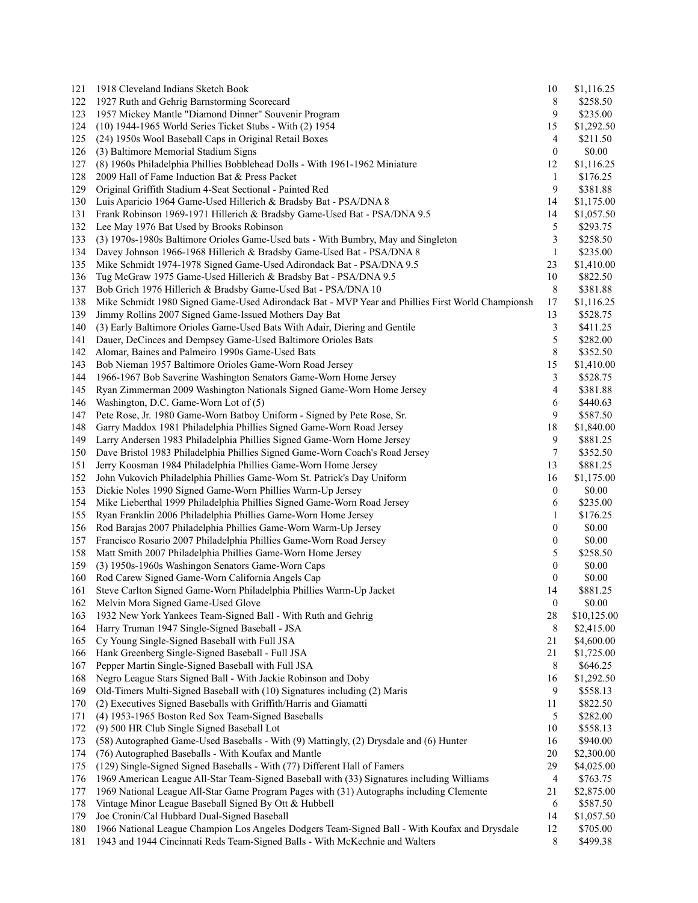| 121 | 1918 Cleveland Indians Sketch Book                                                               | 10               | \$1,116.25  |
|-----|--------------------------------------------------------------------------------------------------|------------------|-------------|
| 122 | 1927 Ruth and Gehrig Barnstorming Scorecard                                                      | 8                | \$258.50    |
| 123 | 1957 Mickey Mantle "Diamond Dinner" Souvenir Program                                             | 9                | \$235.00    |
| 124 | (10) 1944-1965 World Series Ticket Stubs - With (2) 1954                                         | 15               | \$1,292.50  |
| 125 | (24) 1950s Wool Baseball Caps in Original Retail Boxes                                           | 4                | \$211.50    |
| 126 | (3) Baltimore Memorial Stadium Signs                                                             | $\boldsymbol{0}$ | \$0.00      |
| 127 | (8) 1960s Philadelphia Phillies Bobblehead Dolls - With 1961-1962 Miniature                      | 12               | \$1,116.25  |
| 128 | 2009 Hall of Fame Induction Bat & Press Packet                                                   | 1                | \$176.25    |
| 129 | Original Griffith Stadium 4-Seat Sectional - Painted Red                                         | 9                | \$381.88    |
| 130 | Luis Aparicio 1964 Game-Used Hillerich & Bradsby Bat - PSA/DNA 8                                 | 14               | \$1,175.00  |
| 131 | Frank Robinson 1969-1971 Hillerich & Bradsby Game-Used Bat - PSA/DNA 9.5                         | 14               | \$1,057.50  |
| 132 | Lee May 1976 Bat Used by Brooks Robinson                                                         | 5                | \$293.75    |
| 133 | (3) 1970s-1980s Baltimore Orioles Game-Used bats - With Bumbry, May and Singleton                | 3                | \$258.50    |
| 134 | Davey Johnson 1966-1968 Hillerich & Bradsby Game-Used Bat - PSA/DNA 8                            | $\mathbf{1}$     | \$235.00    |
| 135 | Mike Schmidt 1974-1978 Signed Game-Used Adirondack Bat - PSA/DNA 9.5                             | 23               | \$1,410.00  |
| 136 | Tug McGraw 1975 Game-Used Hillerich & Bradsby Bat - PSA/DNA 9.5                                  | 10               | \$822.50    |
| 137 | Bob Grich 1976 Hillerich & Bradsby Game-Used Bat - PSA/DNA 10                                    | 8                | \$381.88    |
| 138 | Mike Schmidt 1980 Signed Game-Used Adirondack Bat - MVP Year and Phillies First World Championsh | 17               | \$1,116.25  |
| 139 | Jimmy Rollins 2007 Signed Game-Issued Mothers Day Bat                                            | 13               | \$528.75    |
| 140 | (3) Early Baltimore Orioles Game-Used Bats With Adair, Diering and Gentile                       | 3                | \$411.25    |
| 141 | Dauer, DeCinces and Dempsey Game-Used Baltimore Orioles Bats                                     | 5                | \$282.00    |
| 142 | Alomar, Baines and Palmeiro 1990s Game-Used Bats                                                 | 8                | \$352.50    |
| 143 | Bob Nieman 1957 Baltimore Orioles Game-Worn Road Jersey                                          | 15               | \$1,410.00  |
| 144 | 1966-1967 Bob Saverine Washington Senators Game-Worn Home Jersey                                 | $\mathfrak{Z}$   | \$528.75    |
| 145 | Ryan Zimmerman 2009 Washington Nationals Signed Game-Worn Home Jersey                            | 4                | \$381.88    |
| 146 | Washington, D.C. Game-Worn Lot of (5)                                                            | 6                | \$440.63    |
| 147 | Pete Rose, Jr. 1980 Game-Worn Batboy Uniform - Signed by Pete Rose, Sr.                          | 9                | \$587.50    |
| 148 | Garry Maddox 1981 Philadelphia Phillies Signed Game-Worn Road Jersey                             | 18               | \$1,840.00  |
| 149 | Larry Andersen 1983 Philadelphia Phillies Signed Game-Worn Home Jersey                           | 9                | \$881.25    |
| 150 | Dave Bristol 1983 Philadelphia Phillies Signed Game-Worn Coach's Road Jersey                     | 7                | \$352.50    |
| 151 | Jerry Koosman 1984 Philadelphia Phillies Game-Worn Home Jersey                                   | 13               | \$881.25    |
| 152 | John Vukovich Philadelphia Phillies Game-Worn St. Patrick's Day Uniform                          | 16               | \$1,175.00  |
| 153 | Dickie Noles 1990 Signed Game-Worn Phillies Warm-Up Jersey                                       | 0                | \$0.00      |
| 154 | Mike Lieberthal 1999 Philadelphia Phillies Signed Game-Worn Road Jersey                          | 6                | \$235.00    |
| 155 | Ryan Franklin 2006 Philadelphia Phillies Game-Worn Home Jersey                                   | 1                | \$176.25    |
| 156 | Rod Barajas 2007 Philadelphia Phillies Game-Worn Warm-Up Jersey                                  | 0                | \$0.00      |
| 157 | Francisco Rosario 2007 Philadelphia Phillies Game-Worn Road Jersey                               | 0                | \$0.00      |
| 158 | Matt Smith 2007 Philadelphia Phillies Game-Worn Home Jersey                                      | 5                | \$258.50    |
| 159 | (3) 1950s-1960s Washingon Senators Game-Worn Caps                                                | $\boldsymbol{0}$ | \$0.00      |
| 160 | Rod Carew Signed Game-Worn California Angels Cap                                                 | 0                | \$0.00      |
| 161 | Steve Carlton Signed Game-Worn Philadelphia Phillies Warm-Up Jacket                              | 14               | \$881.25    |
| 162 | Melvin Mora Signed Game-Used Glove                                                               | $\boldsymbol{0}$ | \$0.00      |
| 163 | 1932 New York Yankees Team-Signed Ball - With Ruth and Gehrig                                    | 28               | \$10,125.00 |
| 164 | Harry Truman 1947 Single-Signed Baseball - JSA                                                   | 8                | \$2,415.00  |
| 165 | Cy Young Single-Signed Baseball with Full JSA                                                    | 21               | \$4,600.00  |
| 166 | Hank Greenberg Single-Signed Baseball - Full JSA                                                 | 21               | \$1,725.00  |
| 167 | Pepper Martin Single-Signed Baseball with Full JSA                                               | 8                | \$646.25    |
| 168 | Negro League Stars Signed Ball - With Jackie Robinson and Doby                                   | 16               | \$1,292.50  |
| 169 | Old-Timers Multi-Signed Baseball with (10) Signatures including (2) Maris                        | 9                | \$558.13    |
| 170 | (2) Executives Signed Baseballs with Griffith/Harris and Giamatti                                | 11               | \$822.50    |
| 171 | (4) 1953-1965 Boston Red Sox Team-Signed Baseballs                                               | 5                | \$282.00    |
| 172 | (9) 500 HR Club Single Signed Baseball Lot                                                       | 10               | \$558.13    |
| 173 | (58) Autographed Game-Used Baseballs - With (9) Mattingly, (2) Drysdale and (6) Hunter           | 16               | \$940.00    |
| 174 | (76) Autographed Baseballs - With Koufax and Mantle                                              | 20               | \$2,300.00  |
| 175 | (129) Single-Signed Signed Baseballs - With (77) Different Hall of Famers                        | 29               | \$4,025.00  |
| 176 | 1969 American League All-Star Team-Signed Baseball with (33) Signatures including Williams       | 4                | \$763.75    |
| 177 | 1969 National League All-Star Game Program Pages with (31) Autographs including Clemente         | 21               | \$2,875.00  |
| 178 | Vintage Minor League Baseball Signed By Ott & Hubbell                                            | 6                | \$587.50    |
| 179 | Joe Cronin/Cal Hubbard Dual-Signed Baseball                                                      | 14               | \$1,057.50  |
| 180 | 1966 National League Champion Los Angeles Dodgers Team-Signed Ball - With Koufax and Drysdale    | 12               | \$705.00    |
| 181 | 1943 and 1944 Cincinnati Reds Team-Signed Balls - With McKechnie and Walters                     | 8                | \$499.38    |
|     |                                                                                                  |                  |             |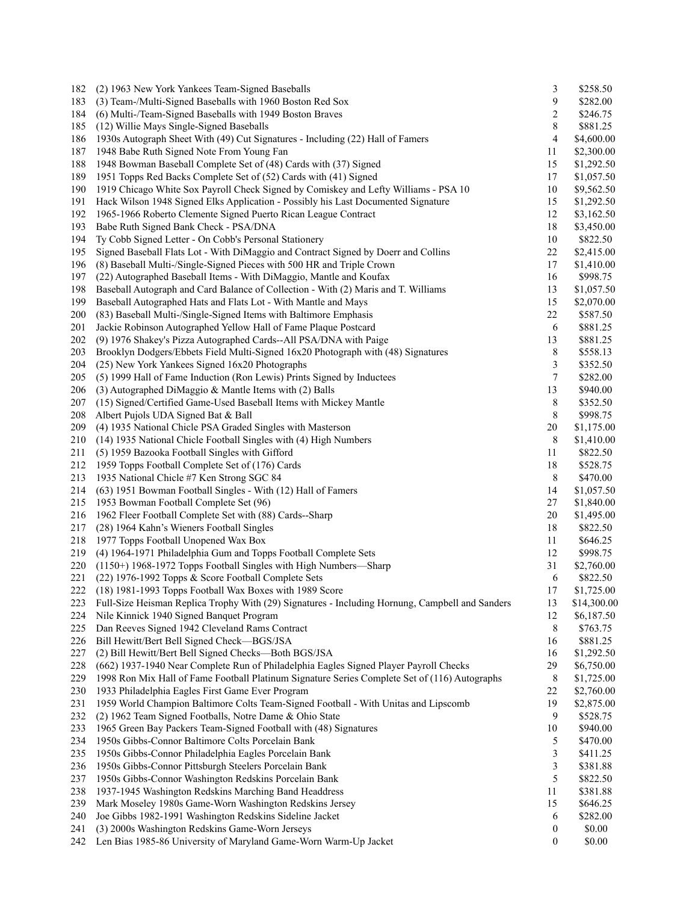| 182 | (2) 1963 New York Yankees Team-Signed Baseballs                                                                    | 3                | \$258.50                 |
|-----|--------------------------------------------------------------------------------------------------------------------|------------------|--------------------------|
| 183 | (3) Team-/Multi-Signed Baseballs with 1960 Boston Red Sox                                                          | 9                | \$282.00                 |
| 184 | (6) Multi-/Team-Signed Baseballs with 1949 Boston Braves                                                           | 2                | \$246.75                 |
| 185 | (12) Willie Mays Single-Signed Baseballs                                                                           | 8                | \$881.25                 |
| 186 | 1930s Autograph Sheet With (49) Cut Signatures - Including (22) Hall of Famers                                     | 4                | \$4,600.00               |
| 187 | 1948 Babe Ruth Signed Note From Young Fan                                                                          | 11               | \$2,300.00               |
| 188 | 1948 Bowman Baseball Complete Set of (48) Cards with (37) Signed                                                   | 15               | \$1,292.50               |
| 189 | 1951 Topps Red Backs Complete Set of (52) Cards with (41) Signed                                                   | 17               | \$1,057.50               |
| 190 | 1919 Chicago White Sox Payroll Check Signed by Comiskey and Lefty Williams - PSA 10                                | 10               | \$9,562.50               |
| 191 | Hack Wilson 1948 Signed Elks Application - Possibly his Last Documented Signature                                  | 15               | \$1,292.50               |
| 192 | 1965-1966 Roberto Clemente Signed Puerto Rican League Contract                                                     | 12               | \$3,162.50               |
| 193 | Babe Ruth Signed Bank Check - PSA/DNA                                                                              | 18               | \$3,450.00               |
| 194 | Ty Cobb Signed Letter - On Cobb's Personal Stationery                                                              | 10               | \$822.50                 |
| 195 | Signed Baseball Flats Lot - With DiMaggio and Contract Signed by Doerr and Collins                                 | 22               | \$2,415.00               |
| 196 | (8) Baseball Multi-/Single-Signed Pieces with 500 HR and Triple Crown                                              | 17               | \$1,410.00               |
| 197 | (22) Autographed Baseball Items - With DiMaggio, Mantle and Koufax                                                 | 16               | \$998.75                 |
| 198 | Baseball Autograph and Card Balance of Collection - With (2) Maris and T. Williams                                 | 13               | \$1,057.50               |
| 199 | Baseball Autographed Hats and Flats Lot - With Mantle and Mays                                                     | 15               | \$2,070.00               |
| 200 | (83) Baseball Multi-/Single-Signed Items with Baltimore Emphasis                                                   | 22               | \$587.50                 |
| 201 | Jackie Robinson Autographed Yellow Hall of Fame Plaque Postcard                                                    | 6                | \$881.25                 |
| 202 | (9) 1976 Shakey's Pizza Autographed Cards--All PSA/DNA with Paige                                                  | 13               | \$881.25                 |
| 203 | Brooklyn Dodgers/Ebbets Field Multi-Signed 16x20 Photograph with (48) Signatures                                   | $\,8\,$          | \$558.13                 |
| 204 | (25) New York Yankees Signed 16x20 Photographs                                                                     | 3                | \$352.50                 |
| 205 | (5) 1999 Hall of Fame Induction (Ron Lewis) Prints Signed by Inductees                                             | 7                | \$282.00                 |
| 206 | (3) Autographed DiMaggio & Mantle Items with (2) Balls                                                             | 13               | \$940.00                 |
| 207 | (15) Signed/Certified Game-Used Baseball Items with Mickey Mantle                                                  | 8                | \$352.50                 |
| 208 | Albert Pujols UDA Signed Bat & Ball                                                                                | 8                | \$998.75                 |
| 209 | (4) 1935 National Chicle PSA Graded Singles with Masterson                                                         | 20               |                          |
| 210 |                                                                                                                    | 8                | \$1,175.00<br>\$1,410.00 |
|     | (14) 1935 National Chicle Football Singles with (4) High Numbers<br>(5) 1959 Bazooka Football Singles with Gifford | 11               | \$822.50                 |
| 211 |                                                                                                                    |                  |                          |
| 212 | 1959 Topps Football Complete Set of (176) Cards                                                                    | 18               | \$528.75                 |
| 213 | 1935 National Chicle #7 Ken Strong SGC 84                                                                          | 8                | \$470.00                 |
| 214 | (63) 1951 Bowman Football Singles - With (12) Hall of Famers                                                       | 14               | \$1,057.50               |
| 215 | 1953 Bowman Football Complete Set (96)                                                                             | 27               | \$1,840.00               |
| 216 | 1962 Fleer Football Complete Set with (88) Cards--Sharp                                                            | 20               | \$1,495.00               |
| 217 | (28) 1964 Kahn's Wieners Football Singles                                                                          | 18               | \$822.50                 |
| 218 | 1977 Topps Football Unopened Wax Box                                                                               | 11               | \$646.25                 |
| 219 | (4) 1964-1971 Philadelphia Gum and Topps Football Complete Sets                                                    | 12               | \$998.75                 |
| 220 | (1150+) 1968-1972 Topps Football Singles with High Numbers-Sharp                                                   | 31               | \$2,760.00               |
| 221 | (22) 1976-1992 Topps & Score Football Complete Sets                                                                | 6                | \$822.50                 |
| 222 | (18) 1981-1993 Topps Football Wax Boxes with 1989 Score                                                            | 17               | \$1,725.00               |
| 223 | Full-Size Heisman Replica Trophy With (29) Signatures - Including Hornung, Campbell and Sanders                    | 13               | \$14,300.00              |
| 224 | Nile Kinnick 1940 Signed Banquet Program                                                                           | 12               | \$6,187.50               |
| 225 | Dan Reeves Signed 1942 Cleveland Rams Contract                                                                     | 8                | \$763.75                 |
| 226 | Bill Hewitt/Bert Bell Signed Check-BGS/JSA                                                                         | 16               | \$881.25                 |
| 227 | (2) Bill Hewitt/Bert Bell Signed Checks-Both BGS/JSA                                                               | 16               | \$1,292.50               |
| 228 | (662) 1937-1940 Near Complete Run of Philadelphia Eagles Signed Player Payroll Checks                              | 29               | \$6,750.00               |
| 229 | 1998 Ron Mix Hall of Fame Football Platinum Signature Series Complete Set of (116) Autographs                      | 8                | \$1,725.00               |
| 230 | 1933 Philadelphia Eagles First Game Ever Program                                                                   | 22               | \$2,760.00               |
| 231 | 1959 World Champion Baltimore Colts Team-Signed Football - With Unitas and Lipscomb                                | 19               | \$2,875.00               |
| 232 | (2) 1962 Team Signed Footballs, Notre Dame & Ohio State                                                            | 9                | \$528.75                 |
| 233 | 1965 Green Bay Packers Team-Signed Football with (48) Signatures                                                   | $10\,$           | \$940.00                 |
| 234 | 1950s Gibbs-Connor Baltimore Colts Porcelain Bank                                                                  | 5                | \$470.00                 |
| 235 | 1950s Gibbs-Connor Philadelphia Eagles Porcelain Bank                                                              | 3                | \$411.25                 |
| 236 | 1950s Gibbs-Connor Pittsburgh Steelers Porcelain Bank                                                              | 3                | \$381.88                 |
| 237 | 1950s Gibbs-Connor Washington Redskins Porcelain Bank                                                              | 5                | \$822.50                 |
| 238 | 1937-1945 Washington Redskins Marching Band Headdress                                                              | 11               | \$381.88                 |
| 239 | Mark Moseley 1980s Game-Worn Washington Redskins Jersey                                                            | 15               | \$646.25                 |
| 240 | Joe Gibbs 1982-1991 Washington Redskins Sideline Jacket                                                            | 6                | \$282.00                 |
| 241 | (3) 2000s Washington Redskins Game-Worn Jerseys                                                                    | $\boldsymbol{0}$ | \$0.00                   |
| 242 | Len Bias 1985-86 University of Maryland Game-Worn Warm-Up Jacket                                                   | $\boldsymbol{0}$ | \$0.00                   |
|     |                                                                                                                    |                  |                          |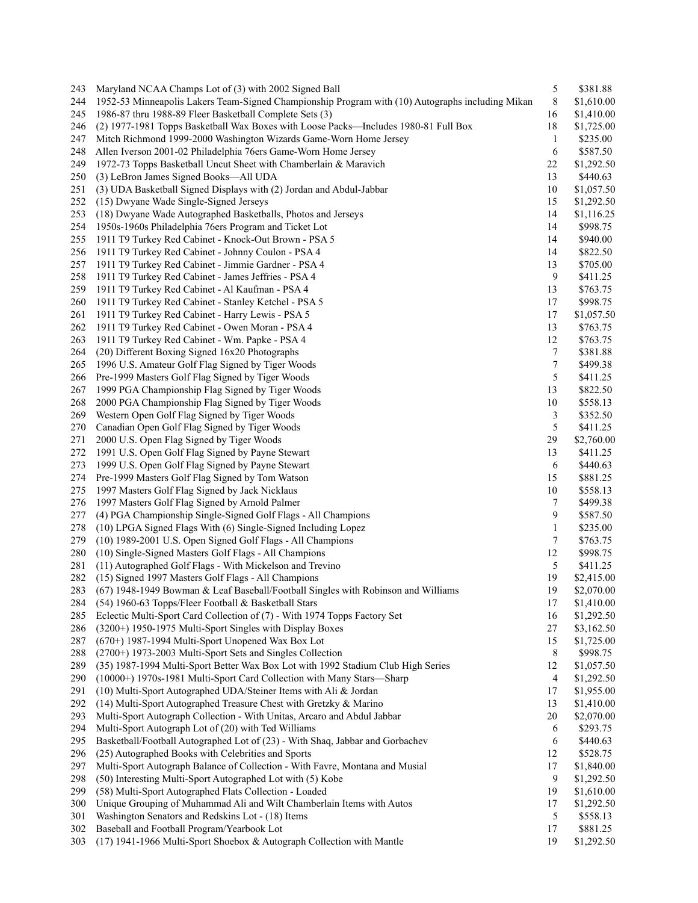| 243        | Maryland NCAA Champs Lot of (3) with 2002 Signed Ball                                            | 5                | \$381.88                 |
|------------|--------------------------------------------------------------------------------------------------|------------------|--------------------------|
| 244        | 1952-53 Minneapolis Lakers Team-Signed Championship Program with (10) Autographs including Mikan | 8                | \$1,610.00               |
| 245        | 1986-87 thru 1988-89 Fleer Basketball Complete Sets (3)                                          | 16               | \$1,410.00               |
| 246        | (2) 1977-1981 Topps Basketball Wax Boxes with Loose Packs—Includes 1980-81 Full Box              | 18               | \$1,725.00               |
| 247        | Mitch Richmond 1999-2000 Washington Wizards Game-Worn Home Jersey                                | $\mathbf{1}$     | \$235.00                 |
| 248        | Allen Iverson 2001-02 Philadelphia 76ers Game-Worn Home Jersey                                   | 6                | \$587.50                 |
| 249        | 1972-73 Topps Basketball Uncut Sheet with Chamberlain & Maravich                                 | 22               | \$1,292.50               |
| 250        | (3) LeBron James Signed Books—All UDA                                                            | 13               | \$440.63                 |
| 251        | (3) UDA Basketball Signed Displays with (2) Jordan and Abdul-Jabbar                              | 10               | \$1,057.50               |
| 252        | (15) Dwyane Wade Single-Signed Jerseys                                                           | 15               | \$1,292.50               |
| 253        | (18) Dwyane Wade Autographed Basketballs, Photos and Jerseys                                     | 14               | \$1,116.25               |
| 254        | 1950s-1960s Philadelphia 76ers Program and Ticket Lot                                            | 14               | \$998.75                 |
|            |                                                                                                  | 14               | \$940.00                 |
| 255        | 1911 T9 Turkey Red Cabinet - Knock-Out Brown - PSA 5                                             |                  |                          |
| 256        | 1911 T9 Turkey Red Cabinet - Johnny Coulon - PSA 4                                               | 14               | \$822.50                 |
| 257        | 1911 T9 Turkey Red Cabinet - Jimmie Gardner - PSA 4                                              | 13               | \$705.00                 |
| 258        | 1911 T9 Turkey Red Cabinet - James Jeffries - PSA 4                                              | 9                | \$411.25                 |
| 259        | 1911 T9 Turkey Red Cabinet - Al Kaufman - PSA 4                                                  | 13               | \$763.75                 |
| 260        | 1911 T9 Turkey Red Cabinet - Stanley Ketchel - PSA 5                                             | 17               | \$998.75                 |
| 261        | 1911 T9 Turkey Red Cabinet - Harry Lewis - PSA 5                                                 | 17               | \$1,057.50               |
| 262        | 1911 T9 Turkey Red Cabinet - Owen Moran - PSA 4                                                  | 13               | \$763.75                 |
| 263        | 1911 T9 Turkey Red Cabinet - Wm. Papke - PSA 4                                                   | 12               | \$763.75                 |
| 264        | (20) Different Boxing Signed 16x20 Photographs                                                   | 7                | \$381.88                 |
| 265        | 1996 U.S. Amateur Golf Flag Signed by Tiger Woods                                                | $\boldsymbol{7}$ | \$499.38                 |
| 266        | Pre-1999 Masters Golf Flag Signed by Tiger Woods                                                 | 5                | \$411.25                 |
| 267        | 1999 PGA Championship Flag Signed by Tiger Woods                                                 | 13               | \$822.50                 |
| 268        | 2000 PGA Championship Flag Signed by Tiger Woods                                                 | 10               | \$558.13                 |
| 269        | Western Open Golf Flag Signed by Tiger Woods                                                     | 3                | \$352.50                 |
| 270        | Canadian Open Golf Flag Signed by Tiger Woods                                                    | 5                | \$411.25                 |
| 271        | 2000 U.S. Open Flag Signed by Tiger Woods                                                        | 29               | \$2,760.00               |
| 272        | 1991 U.S. Open Golf Flag Signed by Payne Stewart                                                 | 13               | \$411.25                 |
| 273        | 1999 U.S. Open Golf Flag Signed by Payne Stewart                                                 | 6                | \$440.63                 |
| 274        | Pre-1999 Masters Golf Flag Signed by Tom Watson                                                  | 15               | \$881.25                 |
| 275        | 1997 Masters Golf Flag Signed by Jack Nicklaus                                                   | 10               | \$558.13                 |
| 276        | 1997 Masters Golf Flag Signed by Arnold Palmer                                                   | 7                | \$499.38                 |
| 277        | (4) PGA Championship Single-Signed Golf Flags - All Champions                                    | 9                | \$587.50                 |
|            |                                                                                                  |                  |                          |
| 278        | (10) LPGA Signed Flags With (6) Single-Signed Including Lopez                                    | $\mathbf{1}$     | \$235.00                 |
| 279        | (10) 1989-2001 U.S. Open Signed Golf Flags - All Champions                                       | 7                | \$763.75                 |
| 280        | (10) Single-Signed Masters Golf Flags - All Champions                                            | 12               | \$998.75                 |
| 281        | (11) Autographed Golf Flags - With Mickelson and Trevino                                         | 5                | \$411.25                 |
| 282        | (15) Signed 1997 Masters Golf Flags - All Champions                                              | 19               | \$2,415.00               |
| 283        | (67) 1948-1949 Bowman & Leaf Baseball/Football Singles with Robinson and Williams                | 19               | \$2,070.00               |
| 284        | (54) 1960-63 Topps/Fleer Football & Basketball Stars                                             | 17               | \$1,410.00               |
| 285        | Eclectic Multi-Sport Card Collection of (7) - With 1974 Topps Factory Set                        | 16               | \$1,292.50               |
| 286        | (3200+) 1950-1975 Multi-Sport Singles with Display Boxes                                         | $27\,$           | \$3,162.50               |
| 287        | (670+) 1987-1994 Multi-Sport Unopened Wax Box Lot                                                | 15               | \$1,725.00               |
| 288        | (2700+) 1973-2003 Multi-Sport Sets and Singles Collection                                        | 8                | \$998.75                 |
| 289        | (35) 1987-1994 Multi-Sport Better Wax Box Lot with 1992 Stadium Club High Series                 | 12               | \$1,057.50               |
| 290        | (10000+) 1970s-1981 Multi-Sport Card Collection with Many Stars-Sharp                            | $\overline{4}$   | \$1,292.50               |
| 291        | (10) Multi-Sport Autographed UDA/Steiner Items with Ali & Jordan                                 | 17               | \$1,955.00               |
| 292        | (14) Multi-Sport Autographed Treasure Chest with Gretzky & Marino                                | 13               | \$1,410.00               |
| 293        | Multi-Sport Autograph Collection - With Unitas, Arcaro and Abdul Jabbar                          | 20               | \$2,070.00               |
| 294        | Multi-Sport Autograph Lot of (20) with Ted Williams                                              | 6                | \$293.75                 |
| 295        | Basketball/Football Autographed Lot of (23) - With Shaq, Jabbar and Gorbachev                    | 6                | \$440.63                 |
| 296        | (25) Autographed Books with Celebrities and Sports                                               | 12               | \$528.75                 |
|            |                                                                                                  |                  |                          |
| 297<br>298 | Multi-Sport Autograph Balance of Collection - With Favre, Montana and Musial                     | 17<br>9          | \$1,840.00<br>\$1,292.50 |
|            | (50) Interesting Multi-Sport Autographed Lot with (5) Kobe                                       |                  |                          |
| 299        | (58) Multi-Sport Autographed Flats Collection - Loaded                                           | 19               | \$1,610.00               |
| 300        | Unique Grouping of Muhammad Ali and Wilt Chamberlain Items with Autos                            | 17               | \$1,292.50               |
| 301        | Washington Senators and Redskins Lot - (18) Items                                                | 5                | \$558.13                 |
| 302        | Baseball and Football Program/Yearbook Lot                                                       | 17               | \$881.25                 |
| 303        | (17) 1941-1966 Multi-Sport Shoebox & Autograph Collection with Mantle                            | 19               | \$1,292.50               |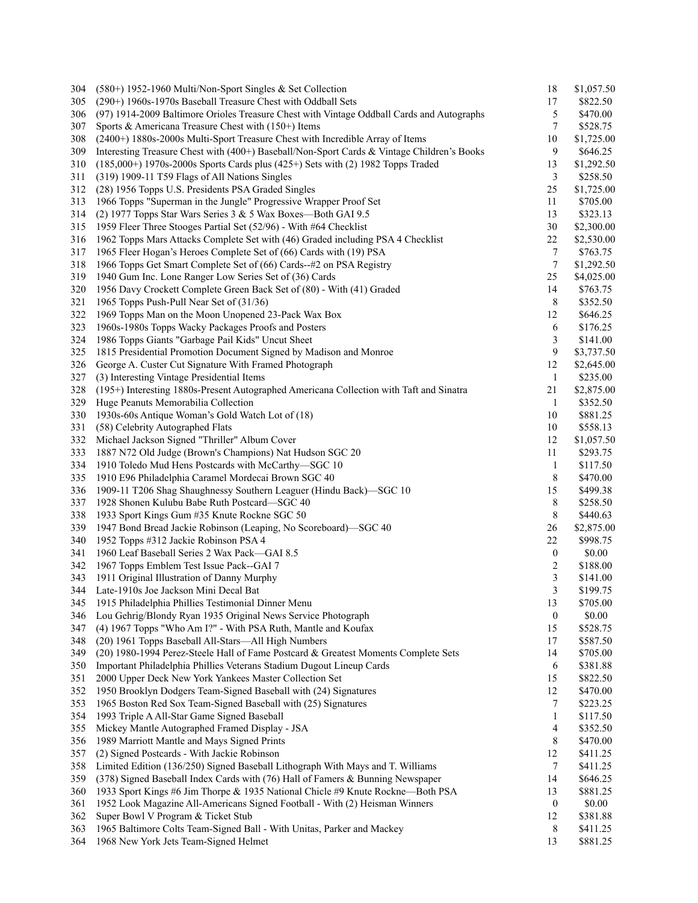| 304 | (580+) 1952-1960 Multi/Non-Sport Singles & Set Collection                                  | 18                      | \$1,057.50 |
|-----|--------------------------------------------------------------------------------------------|-------------------------|------------|
| 305 | (290+) 1960s-1970s Baseball Treasure Chest with Oddball Sets                               | 17                      | \$822.50   |
| 306 | (97) 1914-2009 Baltimore Orioles Treasure Chest with Vintage Oddball Cards and Autographs  | 5                       | \$470.00   |
| 307 | Sports & Americana Treasure Chest with $(150+)$ Items                                      | $\overline{7}$          | \$528.75   |
| 308 | (2400+) 1880s-2000s Multi-Sport Treasure Chest with Incredible Array of Items              | 10                      | \$1,725.00 |
| 309 | Interesting Treasure Chest with (400+) Baseball/Non-Sport Cards & Vintage Children's Books | 9                       | \$646.25   |
| 310 | $(185,000+)$ 1970s-2000s Sports Cards plus $(425+)$ Sets with $(2)$ 1982 Topps Traded      | 13                      | \$1,292.50 |
| 311 | (319) 1909-11 T59 Flags of All Nations Singles                                             | 3                       | \$258.50   |
| 312 | (28) 1956 Topps U.S. Presidents PSA Graded Singles                                         | 25                      | \$1,725.00 |
| 313 | 1966 Topps "Superman in the Jungle" Progressive Wrapper Proof Set                          | 11                      | \$705.00   |
| 314 | (2) 1977 Topps Star Wars Series 3 & 5 Wax Boxes-Both GAI 9.5                               | 13                      | \$323.13   |
| 315 | 1959 Fleer Three Stooges Partial Set (52/96) - With #64 Checklist                          | 30                      | \$2,300.00 |
| 316 | 1962 Topps Mars Attacks Complete Set with (46) Graded including PSA 4 Checklist            | $22\,$                  | \$2,530.00 |
| 317 | 1965 Fleer Hogan's Heroes Complete Set of (66) Cards with (19) PSA                         | 7                       | \$763.75   |
| 318 | 1966 Topps Get Smart Complete Set of (66) Cards--#2 on PSA Registry                        | 7                       | \$1,292.50 |
|     |                                                                                            |                         |            |
| 319 | 1940 Gum Inc. Lone Ranger Low Series Set of (36) Cards                                     | 25                      | \$4,025.00 |
| 320 | 1956 Davy Crockett Complete Green Back Set of (80) - With (41) Graded                      | 14                      | \$763.75   |
| 321 | 1965 Topps Push-Pull Near Set of (31/36)                                                   | 8                       | \$352.50   |
| 322 | 1969 Topps Man on the Moon Unopened 23-Pack Wax Box                                        | 12                      | \$646.25   |
| 323 | 1960s-1980s Topps Wacky Packages Proofs and Posters                                        | 6                       | \$176.25   |
| 324 | 1986 Topps Giants "Garbage Pail Kids" Uncut Sheet                                          | 3                       | \$141.00   |
| 325 | 1815 Presidential Promotion Document Signed by Madison and Monroe                          | $\mathbf{9}$            | \$3,737.50 |
| 326 | George A. Custer Cut Signature With Framed Photograph                                      | 12                      | \$2,645.00 |
| 327 | (3) Interesting Vintage Presidential Items                                                 | $\mathbf{1}$            | \$235.00   |
| 328 | (195+) Interesting 1880s-Present Autographed Americana Collection with Taft and Sinatra    | 21                      | \$2,875.00 |
| 329 | Huge Peanuts Memorabilia Collection                                                        | $\mathbf{1}$            | \$352.50   |
| 330 | 1930s-60s Antique Woman's Gold Watch Lot of (18)                                           | $10\,$                  | \$881.25   |
| 331 | (58) Celebrity Autographed Flats                                                           | 10                      | \$558.13   |
| 332 | Michael Jackson Signed "Thriller" Album Cover                                              | 12                      | \$1,057.50 |
| 333 | 1887 N72 Old Judge (Brown's Champions) Nat Hudson SGC 20                                   | 11                      | \$293.75   |
| 334 | 1910 Toledo Mud Hens Postcards with McCarthy-SGC 10                                        | $\mathbf{1}$            | \$117.50   |
| 335 | 1910 E96 Philadelphia Caramel Mordecai Brown SGC 40                                        | 8                       | \$470.00   |
| 336 | 1909-11 T206 Shag Shaughnessy Southern Leaguer (Hindu Back)-SGC 10                         | 15                      | \$499.38   |
| 337 | 1928 Shonen Kulubu Babe Ruth Postcard-SGC 40                                               | 8                       | \$258.50   |
| 338 | 1933 Sport Kings Gum #35 Knute Rockne SGC 50                                               | 8                       | \$440.63   |
| 339 | 1947 Bond Bread Jackie Robinson (Leaping, No Scoreboard)—SGC 40                            | 26                      | \$2,875.00 |
| 340 | 1952 Topps #312 Jackie Robinson PSA 4                                                      | 22                      | \$998.75   |
| 341 | 1960 Leaf Baseball Series 2 Wax Pack-GAI 8.5                                               | $\boldsymbol{0}$        | \$0.00     |
| 342 | 1967 Topps Emblem Test Issue Pack--GAI 7                                                   | $\overline{\mathbf{c}}$ | \$188.00   |
| 343 | 1911 Original Illustration of Danny Murphy                                                 | $\mathfrak{Z}$          | \$141.00   |
| 344 | Late-1910s Joe Jackson Mini Decal Bat                                                      | 3                       | \$199.75   |
| 345 | 1915 Philadelphia Phillies Testimonial Dinner Menu                                         | 13                      | \$705.00   |
| 346 | Lou Gehrig/Blondy Ryan 1935 Original News Service Photograph                               | $\boldsymbol{0}$        | \$0.00     |
| 347 | (4) 1967 Topps "Who Am I?" - With PSA Ruth, Mantle and Koufax                              | 15                      | \$528.75   |
| 348 | (20) 1961 Topps Baseball All-Stars-All High Numbers                                        | 17                      | \$587.50   |
|     |                                                                                            |                         |            |
| 349 | (20) 1980-1994 Perez-Steele Hall of Fame Postcard & Greatest Moments Complete Sets         | 14                      | \$705.00   |
| 350 | Important Philadelphia Phillies Veterans Stadium Dugout Lineup Cards                       | 6                       | \$381.88   |
| 351 | 2000 Upper Deck New York Yankees Master Collection Set                                     | 15                      | \$822.50   |
| 352 | 1950 Brooklyn Dodgers Team-Signed Baseball with (24) Signatures                            | 12                      | \$470.00   |
| 353 | 1965 Boston Red Sox Team-Signed Baseball with (25) Signatures                              | 7                       | \$223.25   |
| 354 | 1993 Triple A All-Star Game Signed Baseball                                                | $\mathbf{1}$            | \$117.50   |
| 355 | Mickey Mantle Autographed Framed Display - JSA                                             | 4                       | \$352.50   |
| 356 | 1989 Marriott Mantle and Mays Signed Prints                                                | 8                       | \$470.00   |
| 357 | (2) Signed Postcards - With Jackie Robinson                                                | 12                      | \$411.25   |
| 358 | Limited Edition (136/250) Signed Baseball Lithograph With Mays and T. Williams             | 7                       | \$411.25   |
| 359 | (378) Signed Baseball Index Cards with (76) Hall of Famers & Bunning Newspaper             | 14                      | \$646.25   |
| 360 | 1933 Sport Kings #6 Jim Thorpe & 1935 National Chicle #9 Knute Rockne—Both PSA             | 13                      | \$881.25   |
| 361 | 1952 Look Magazine All-Americans Signed Football - With (2) Heisman Winners                | $\boldsymbol{0}$        | \$0.00     |
| 362 | Super Bowl V Program & Ticket Stub                                                         | 12                      | \$381.88   |
| 363 | 1965 Baltimore Colts Team-Signed Ball - With Unitas, Parker and Mackey                     | 8                       | \$411.25   |
| 364 | 1968 New York Jets Team-Signed Helmet                                                      | 13                      | \$881.25   |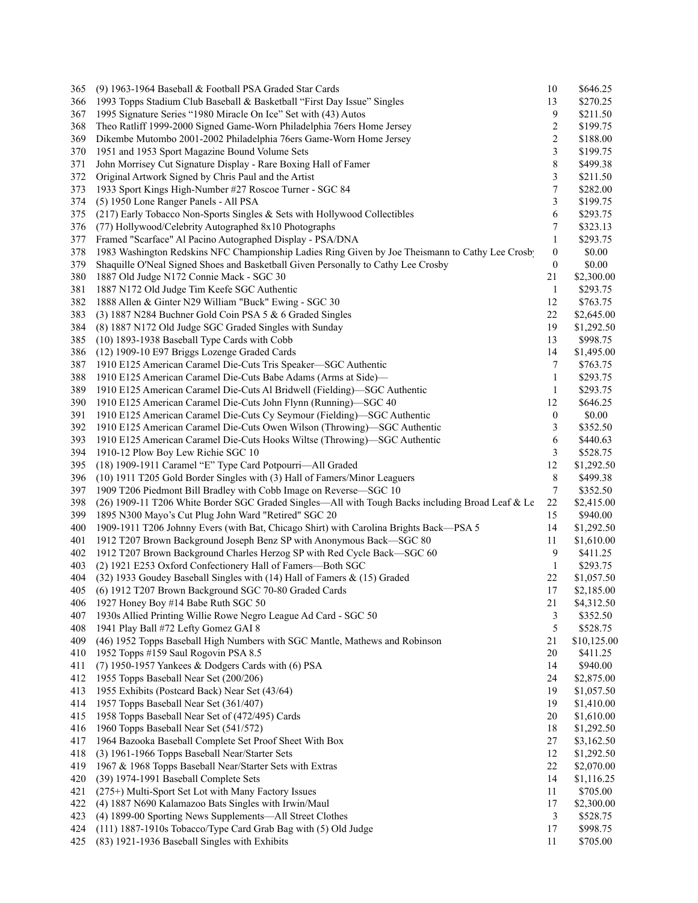| 365 | (9) 1963-1964 Baseball & Football PSA Graded Star Cards                                                                               | 10               | \$646.25    |
|-----|---------------------------------------------------------------------------------------------------------------------------------------|------------------|-------------|
| 366 | 1993 Topps Stadium Club Baseball & Basketball "First Day Issue" Singles                                                               | 13               | \$270.25    |
| 367 | 1995 Signature Series "1980 Miracle On Ice" Set with (43) Autos                                                                       | 9                | \$211.50    |
| 368 | Theo Ratliff 1999-2000 Signed Game-Worn Philadelphia 76ers Home Jersey                                                                | 2                | \$199.75    |
| 369 | Dikembe Mutombo 2001-2002 Philadelphia 76ers Game-Worn Home Jersey                                                                    | $\overline{c}$   | \$188.00    |
| 370 | 1951 and 1953 Sport Magazine Bound Volume Sets                                                                                        | $\mathfrak{Z}$   | \$199.75    |
| 371 | John Morrisey Cut Signature Display - Rare Boxing Hall of Famer                                                                       | 8                | \$499.38    |
| 372 | Original Artwork Signed by Chris Paul and the Artist                                                                                  | 3                | \$211.50    |
| 373 | 1933 Sport Kings High-Number #27 Roscoe Turner - SGC 84                                                                               | $\boldsymbol{7}$ | \$282.00    |
| 374 | (5) 1950 Lone Ranger Panels - All PSA                                                                                                 | 3                | \$199.75    |
| 375 | (217) Early Tobacco Non-Sports Singles & Sets with Hollywood Collectibles                                                             | 6                | \$293.75    |
| 376 | (77) Hollywood/Celebrity Autographed 8x10 Photographs                                                                                 | 7                | \$323.13    |
| 377 | Framed "Scarface" Al Pacino Autographed Display - PSA/DNA                                                                             | $\mathbf{1}$     | \$293.75    |
| 378 | 1983 Washington Redskins NFC Championship Ladies Ring Given by Joe Theismann to Cathy Lee Crosb                                       | 0                | \$0.00      |
|     |                                                                                                                                       |                  |             |
| 379 | Shaquille O'Neal Signed Shoes and Basketball Given Personally to Cathy Lee Crosby                                                     | 0                | \$0.00      |
| 380 | 1887 Old Judge N172 Connie Mack - SGC 30                                                                                              | 21               | \$2,300.00  |
| 381 | 1887 N172 Old Judge Tim Keefe SGC Authentic                                                                                           | 1                | \$293.75    |
| 382 | 1888 Allen & Ginter N29 William "Buck" Ewing - SGC 30                                                                                 | 12               | \$763.75    |
| 383 | (3) 1887 N284 Buchner Gold Coin PSA 5 & 6 Graded Singles                                                                              | 22               | \$2,645.00  |
| 384 | (8) 1887 N172 Old Judge SGC Graded Singles with Sunday                                                                                | 19               | \$1,292.50  |
| 385 | (10) 1893-1938 Baseball Type Cards with Cobb                                                                                          | 13               | \$998.75    |
| 386 | (12) 1909-10 E97 Briggs Lozenge Graded Cards                                                                                          | 14               | \$1,495.00  |
| 387 | 1910 E125 American Caramel Die-Cuts Tris Speaker-SGC Authentic                                                                        | 7                | \$763.75    |
| 388 | 1910 E125 American Caramel Die-Cuts Babe Adams (Arms at Side)-                                                                        | $\mathbf{1}$     | \$293.75    |
| 389 | 1910 E125 American Caramel Die-Cuts Al Bridwell (Fielding)-SGC Authentic                                                              | $\mathbf{1}$     | \$293.75    |
| 390 | 1910 E125 American Caramel Die-Cuts John Flynn (Running)—SGC 40                                                                       | 12               | \$646.25    |
| 391 | 1910 E125 American Caramel Die-Cuts Cy Seymour (Fielding)-SGC Authentic                                                               | 0                | \$0.00      |
| 392 | 1910 E125 American Caramel Die-Cuts Owen Wilson (Throwing)-SGC Authentic                                                              | 3                | \$352.50    |
| 393 | 1910 E125 American Caramel Die-Cuts Hooks Wiltse (Throwing)-SGC Authentic                                                             | 6                | \$440.63    |
| 394 | 1910-12 Plow Boy Lew Richie SGC 10                                                                                                    | 3                | \$528.75    |
| 395 | (18) 1909-1911 Caramel "E" Type Card Potpourri-All Graded                                                                             | 12               | \$1,292.50  |
| 396 | (10) 1911 T205 Gold Border Singles with (3) Hall of Famers/Minor Leaguers                                                             | 8                | \$499.38    |
| 397 | 1909 T206 Piedmont Bill Bradley with Cobb Image on Reverse–SGC 10                                                                     | 7                | \$352.50    |
| 398 | (26) 1909-11 T206 White Border SGC Graded Singles—All with Tough Backs including Broad Leaf & Le                                      | 22               | \$2,415.00  |
| 399 | 1895 N300 Mayo's Cut Plug John Ward "Retired" SGC 20                                                                                  | 15               | \$940.00    |
| 400 | 1909-1911 T206 Johnny Evers (with Bat, Chicago Shirt) with Carolina Brights Back—PSA 5                                                | 14               | \$1,292.50  |
| 401 | 1912 T207 Brown Background Joseph Benz SP with Anonymous Back-SGC 80                                                                  | 11               | \$1,610.00  |
| 402 |                                                                                                                                       | 9                | \$411.25    |
|     | 1912 T207 Brown Background Charles Herzog SP with Red Cycle Back-SGC 60<br>(2) 1921 E253 Oxford Confectionery Hall of Famers-Both SGC |                  | \$293.75    |
| 403 |                                                                                                                                       | 1                |             |
| 404 | (32) 1933 Goudey Baseball Singles with (14) Hall of Famers & (15) Graded                                                              | 22               | \$1,057.50  |
| 405 | (6) 1912 T207 Brown Background SGC 70-80 Graded Cards                                                                                 | 17               | \$2,185.00  |
| 406 | 1927 Honey Boy #14 Babe Ruth SGC 50                                                                                                   | 21               | \$4,312.50  |
| 407 | 1930s Allied Printing Willie Rowe Negro League Ad Card - SGC 50                                                                       | 3                | \$352.50    |
| 408 | 1941 Play Ball #72 Lefty Gomez GAI 8                                                                                                  | 5                | \$528.75    |
| 409 | (46) 1952 Topps Baseball High Numbers with SGC Mantle, Mathews and Robinson                                                           | 21               | \$10,125.00 |
| 410 | 1952 Topps #159 Saul Rogovin PSA 8.5                                                                                                  | 20               | \$411.25    |
| 411 | (7) 1950-1957 Yankees & Dodgers Cards with (6) PSA                                                                                    | 14               | \$940.00    |
| 412 | 1955 Topps Baseball Near Set (200/206)                                                                                                | 24               | \$2,875.00  |
| 413 | 1955 Exhibits (Postcard Back) Near Set (43/64)                                                                                        | 19               | \$1,057.50  |
| 414 | 1957 Topps Baseball Near Set (361/407)                                                                                                | 19               | \$1,410.00  |
| 415 | 1958 Topps Baseball Near Set of (472/495) Cards                                                                                       | 20               | \$1,610.00  |
| 416 | 1960 Topps Baseball Near Set (541/572)                                                                                                | 18               | \$1,292.50  |
| 417 | 1964 Bazooka Baseball Complete Set Proof Sheet With Box                                                                               | 27               | \$3,162.50  |
| 418 | (3) 1961-1966 Topps Baseball Near/Starter Sets                                                                                        | 12               | \$1,292.50  |
| 419 | 1967 & 1968 Topps Baseball Near/Starter Sets with Extras                                                                              | $22\,$           | \$2,070.00  |
| 420 | (39) 1974-1991 Baseball Complete Sets                                                                                                 | 14               | \$1,116.25  |
| 421 | (275+) Multi-Sport Set Lot with Many Factory Issues                                                                                   | 11               | \$705.00    |
|     |                                                                                                                                       |                  |             |
| 422 | (4) 1887 N690 Kalamazoo Bats Singles with Irwin/Maul                                                                                  | 17               | \$2,300.00  |
| 423 | (4) 1899-00 Sporting News Supplements-All Street Clothes                                                                              | 3                | \$528.75    |
| 424 | (111) 1887-1910s Tobacco/Type Card Grab Bag with (5) Old Judge                                                                        | 17               | \$998.75    |
| 425 | (83) 1921-1936 Baseball Singles with Exhibits                                                                                         | 11               | \$705.00    |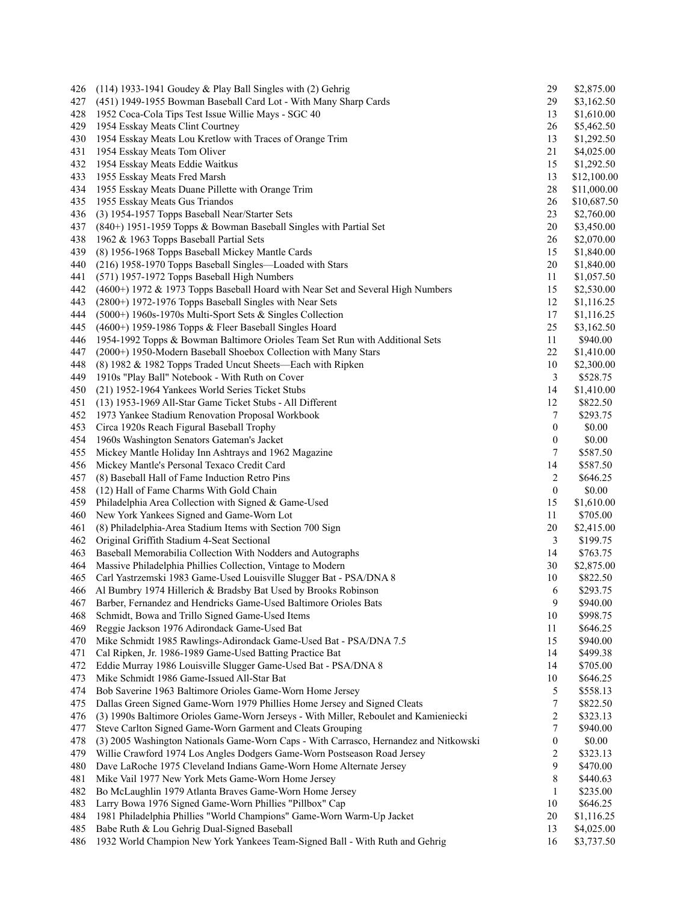| 426 | $(114)$ 1933-1941 Goudey & Play Ball Singles with $(2)$ Gehrig                                                | 29                      | \$2,875.00  |
|-----|---------------------------------------------------------------------------------------------------------------|-------------------------|-------------|
| 427 | (451) 1949-1955 Bowman Baseball Card Lot - With Many Sharp Cards                                              | 29                      | \$3,162.50  |
| 428 | 1952 Coca-Cola Tips Test Issue Willie Mays - SGC 40                                                           | 13                      | \$1,610.00  |
| 429 | 1954 Esskay Meats Clint Courtney                                                                              | 26                      | \$5,462.50  |
| 430 | 1954 Esskay Meats Lou Kretlow with Traces of Orange Trim                                                      | 13                      | \$1,292.50  |
| 431 | 1954 Esskay Meats Tom Oliver                                                                                  | 21                      | \$4,025.00  |
| 432 | 1954 Esskay Meats Eddie Waitkus                                                                               | 15                      | \$1,292.50  |
| 433 | 1955 Esskay Meats Fred Marsh                                                                                  | 13                      | \$12,100.00 |
| 434 | 1955 Esskay Meats Duane Pillette with Orange Trim                                                             | 28                      | \$11,000.00 |
| 435 | 1955 Esskay Meats Gus Triandos                                                                                | 26                      | \$10,687.50 |
| 436 | (3) 1954-1957 Topps Baseball Near/Starter Sets                                                                | 23                      | \$2,760.00  |
| 437 | (840+) 1951-1959 Topps & Bowman Baseball Singles with Partial Set                                             | 20                      | \$3,450.00  |
| 438 | 1962 & 1963 Topps Baseball Partial Sets                                                                       | 26                      | \$2,070.00  |
| 439 | (8) 1956-1968 Topps Baseball Mickey Mantle Cards                                                              | 15                      | \$1,840.00  |
| 440 | (216) 1958-1970 Topps Baseball Singles-Loaded with Stars                                                      | 20                      | \$1,840.00  |
| 441 | (571) 1957-1972 Topps Baseball High Numbers                                                                   | 11                      | \$1,057.50  |
| 442 | (4600+) 1972 & 1973 Topps Baseball Hoard with Near Set and Several High Numbers                               | 15                      | \$2,530.00  |
| 443 | (2800+) 1972-1976 Topps Baseball Singles with Near Sets                                                       | 12                      | \$1,116.25  |
| 444 | (5000+) 1960s-1970s Multi-Sport Sets & Singles Collection                                                     | 17                      | \$1,116.25  |
| 445 | (4600+) 1959-1986 Topps & Fleer Baseball Singles Hoard                                                        | 25                      | \$3,162.50  |
| 446 | 1954-1992 Topps & Bowman Baltimore Orioles Team Set Run with Additional Sets                                  | 11                      | \$940.00    |
| 447 | (2000+) 1950-Modern Baseball Shoebox Collection with Many Stars                                               | 22                      | \$1,410.00  |
| 448 |                                                                                                               | 10                      |             |
|     | (8) 1982 & 1982 Topps Traded Uncut Sheets—Each with Ripken<br>1910s "Play Ball" Notebook - With Ruth on Cover | 3                       | \$2,300.00  |
| 449 |                                                                                                               |                         | \$528.75    |
| 450 | (21) 1952-1964 Yankees World Series Ticket Stubs                                                              | 14                      | \$1,410.00  |
| 451 | (13) 1953-1969 All-Star Game Ticket Stubs - All Different                                                     | 12                      | \$822.50    |
| 452 | 1973 Yankee Stadium Renovation Proposal Workbook                                                              | 7                       | \$293.75    |
| 453 | Circa 1920s Reach Figural Baseball Trophy                                                                     | $\boldsymbol{0}$        | \$0.00      |
| 454 | 1960s Washington Senators Gateman's Jacket                                                                    | $\boldsymbol{0}$        | \$0.00      |
| 455 | Mickey Mantle Holiday Inn Ashtrays and 1962 Magazine                                                          | 7                       | \$587.50    |
| 456 | Mickey Mantle's Personal Texaco Credit Card                                                                   | 14                      | \$587.50    |
| 457 | (8) Baseball Hall of Fame Induction Retro Pins                                                                | 2                       | \$646.25    |
| 458 | (12) Hall of Fame Charms With Gold Chain                                                                      | $\boldsymbol{0}$        | \$0.00      |
| 459 | Philadelphia Area Collection with Signed & Game-Used                                                          | 15                      | \$1,610.00  |
| 460 | New York Yankees Signed and Game-Worn Lot                                                                     | 11                      | \$705.00    |
| 461 | (8) Philadelphia-Area Stadium Items with Section 700 Sign                                                     | 20                      | \$2,415.00  |
| 462 | Original Griffith Stadium 4-Seat Sectional                                                                    | 3                       | \$199.75    |
| 463 | Baseball Memorabilia Collection With Nodders and Autographs                                                   | 14                      | \$763.75    |
| 464 | Massive Philadelphia Phillies Collection, Vintage to Modern                                                   | 30                      | \$2,875.00  |
| 465 | Carl Yastrzemski 1983 Game-Used Louisville Slugger Bat - PSA/DNA 8                                            | 10                      | \$822.50    |
| 466 | Al Bumbry 1974 Hillerich & Bradsby Bat Used by Brooks Robinson                                                | 6                       | \$293.75    |
| 467 | Barber, Fernandez and Hendricks Game-Used Baltimore Orioles Bats                                              | $\overline{9}$          | \$940.00    |
| 468 | Schmidt, Bowa and Trillo Signed Game-Used Items                                                               | 10                      | \$998.75    |
| 469 | Reggie Jackson 1976 Adirondack Game-Used Bat                                                                  | 11                      | \$646.25    |
| 470 | Mike Schmidt 1985 Rawlings-Adirondack Game-Used Bat - PSA/DNA 7.5                                             | 15                      | \$940.00    |
| 471 | Cal Ripken, Jr. 1986-1989 Game-Used Batting Practice Bat                                                      | 14                      | \$499.38    |
| 472 | Eddie Murray 1986 Louisville Slugger Game-Used Bat - PSA/DNA 8                                                | 14                      | \$705.00    |
| 473 | Mike Schmidt 1986 Game-Issued All-Star Bat                                                                    | 10                      | \$646.25    |
| 474 | Bob Saverine 1963 Baltimore Orioles Game-Worn Home Jersey                                                     | 5                       | \$558.13    |
| 475 | Dallas Green Signed Game-Worn 1979 Phillies Home Jersey and Signed Cleats                                     | 7                       | \$822.50    |
| 476 | (3) 1990s Baltimore Orioles Game-Worn Jerseys - With Miller, Reboulet and Kamieniecki                         | 2                       | \$323.13    |
| 477 | Steve Carlton Signed Game-Worn Garment and Cleats Grouping                                                    | 7                       | \$940.00    |
| 478 | (3) 2005 Washington Nationals Game-Worn Caps - With Carrasco, Hernandez and Nitkowski                         | $\boldsymbol{0}$        | \$0.00      |
| 479 | Willie Crawford 1974 Los Angles Dodgers Game-Worn Postseason Road Jersey                                      | $\overline{\mathbf{c}}$ | \$323.13    |
| 480 | Dave LaRoche 1975 Cleveland Indians Game-Worn Home Alternate Jersey                                           | 9                       | \$470.00    |
| 481 | Mike Vail 1977 New York Mets Game-Worn Home Jersey                                                            | 8                       | \$440.63    |
| 482 | Bo McLaughlin 1979 Atlanta Braves Game-Worn Home Jersey                                                       | $\mathbf{1}$            | \$235.00    |
| 483 | Larry Bowa 1976 Signed Game-Worn Phillies "Pillbox" Cap                                                       | 10                      | \$646.25    |
| 484 | 1981 Philadelphia Phillies "World Champions" Game-Worn Warm-Up Jacket                                         | 20                      | \$1,116.25  |
| 485 | Babe Ruth & Lou Gehrig Dual-Signed Baseball                                                                   | 13                      | \$4,025.00  |
| 486 | 1932 World Champion New York Yankees Team-Signed Ball - With Ruth and Gehrig                                  | 16                      | \$3,737.50  |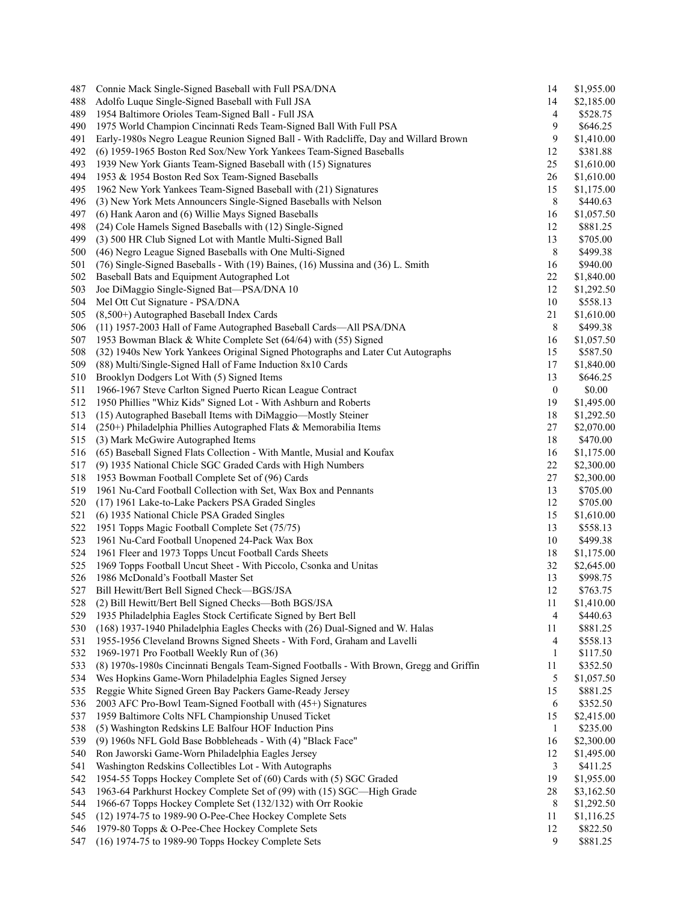| 487 | Connie Mack Single-Signed Baseball with Full PSA/DNA                                     | 14               | \$1,955.00 |
|-----|------------------------------------------------------------------------------------------|------------------|------------|
| 488 | Adolfo Luque Single-Signed Baseball with Full JSA                                        | 14               | \$2,185.00 |
| 489 | 1954 Baltimore Orioles Team-Signed Ball - Full JSA                                       | 4                | \$528.75   |
| 490 | 1975 World Champion Cincinnati Reds Team-Signed Ball With Full PSA                       | 9                | \$646.25   |
| 491 | Early-1980s Negro League Reunion Signed Ball - With Radcliffe, Day and Willard Brown     | 9                | \$1,410.00 |
| 492 | (6) 1959-1965 Boston Red Sox/New York Yankees Team-Signed Baseballs                      | 12               | \$381.88   |
| 493 | 1939 New York Giants Team-Signed Baseball with (15) Signatures                           | 25               | \$1,610.00 |
| 494 | 1953 & 1954 Boston Red Sox Team-Signed Baseballs                                         | 26               | \$1,610.00 |
| 495 | 1962 New York Yankees Team-Signed Baseball with (21) Signatures                          | 15               | \$1,175.00 |
| 496 | (3) New York Mets Announcers Single-Signed Baseballs with Nelson                         | 8                | \$440.63   |
| 497 | (6) Hank Aaron and (6) Willie Mays Signed Baseballs                                      | 16               | \$1,057.50 |
| 498 | (24) Cole Hamels Signed Baseballs with (12) Single-Signed                                | 12               | \$881.25   |
| 499 | (3) 500 HR Club Signed Lot with Mantle Multi-Signed Ball                                 | 13               | \$705.00   |
| 500 | (46) Negro League Signed Baseballs with One Multi-Signed                                 | 8                | \$499.38   |
|     |                                                                                          |                  |            |
| 501 | (76) Single-Signed Baseballs - With (19) Baines, (16) Mussina and (36) L. Smith          | 16               | \$940.00   |
| 502 | Baseball Bats and Equipment Autographed Lot                                              | 22               | \$1,840.00 |
| 503 | Joe DiMaggio Single-Signed Bat-PSA/DNA 10                                                | 12               | \$1,292.50 |
| 504 | Mel Ott Cut Signature - PSA/DNA                                                          | 10               | \$558.13   |
| 505 | (8,500+) Autographed Baseball Index Cards                                                | 21               | \$1,610.00 |
| 506 | (11) 1957-2003 Hall of Fame Autographed Baseball Cards-All PSA/DNA                       | 8                | \$499.38   |
| 507 | 1953 Bowman Black & White Complete Set (64/64) with (55) Signed                          | 16               | \$1,057.50 |
| 508 | (32) 1940s New York Yankees Original Signed Photographs and Later Cut Autographs         | 15               | \$587.50   |
| 509 | (88) Multi/Single-Signed Hall of Fame Induction 8x10 Cards                               | 17               | \$1,840.00 |
| 510 | Brooklyn Dodgers Lot With (5) Signed Items                                               | 13               | \$646.25   |
| 511 | 1966-1967 Steve Carlton Signed Puerto Rican League Contract                              | $\boldsymbol{0}$ | \$0.00     |
| 512 | 1950 Phillies "Whiz Kids" Signed Lot - With Ashburn and Roberts                          | 19               | \$1,495.00 |
| 513 | (15) Autographed Baseball Items with DiMaggio-Mostly Steiner                             | 18               | \$1,292.50 |
| 514 | (250+) Philadelphia Phillies Autographed Flats & Memorabilia Items                       | 27               | \$2,070.00 |
| 515 | (3) Mark McGwire Autographed Items                                                       | 18               | \$470.00   |
| 516 | (65) Baseball Signed Flats Collection - With Mantle, Musial and Koufax                   | 16               | \$1,175.00 |
| 517 | (9) 1935 National Chicle SGC Graded Cards with High Numbers                              | 22               | \$2,300.00 |
| 518 | 1953 Bowman Football Complete Set of (96) Cards                                          | 27               | \$2,300.00 |
| 519 | 1961 Nu-Card Football Collection with Set, Wax Box and Pennants                          | 13               | \$705.00   |
| 520 | (17) 1961 Lake-to-Lake Packers PSA Graded Singles                                        | 12               | \$705.00   |
| 521 | (6) 1935 National Chicle PSA Graded Singles                                              | 15               | \$1,610.00 |
| 522 | 1951 Topps Magic Football Complete Set (75/75)                                           | 13               | \$558.13   |
|     |                                                                                          |                  |            |
| 523 | 1961 Nu-Card Football Unopened 24-Pack Wax Box                                           | 10               | \$499.38   |
| 524 | 1961 Fleer and 1973 Topps Uncut Football Cards Sheets                                    | 18               | \$1,175.00 |
| 525 | 1969 Topps Football Uncut Sheet - With Piccolo, Csonka and Unitas                        | 32               | \$2,645.00 |
| 526 | 1986 McDonald's Football Master Set                                                      | 13               | \$998.75   |
| 527 | Bill Hewitt/Bert Bell Signed Check—BGS/JSA                                               | 12               | \$763.75   |
| 528 | (2) Bill Hewitt/Bert Bell Signed Checks-Both BGS/JSA                                     | 11               | \$1,410.00 |
| 529 | 1935 Philadelphia Eagles Stock Certificate Signed by Bert Bell                           | 4                | \$440.63   |
| 530 | (168) 1937-1940 Philadelphia Eagles Checks with (26) Dual-Signed and W. Halas            | 11               | \$881.25   |
| 531 | 1955-1956 Cleveland Browns Signed Sheets - With Ford, Graham and Lavelli                 | 4                | \$558.13   |
| 532 | 1969-1971 Pro Football Weekly Run of (36)                                                | 1                | \$117.50   |
| 533 | (8) 1970s-1980s Cincinnati Bengals Team-Signed Footballs - With Brown, Gregg and Griffin | 11               | \$352.50   |
| 534 | Wes Hopkins Game-Worn Philadelphia Eagles Signed Jersey                                  | 5                | \$1,057.50 |
| 535 | Reggie White Signed Green Bay Packers Game-Ready Jersey                                  | 15               | \$881.25   |
| 536 | 2003 AFC Pro-Bowl Team-Signed Football with (45+) Signatures                             | 6                | \$352.50   |
| 537 | 1959 Baltimore Colts NFL Championship Unused Ticket                                      | 15               | \$2,415.00 |
| 538 | (5) Washington Redskins LE Balfour HOF Induction Pins                                    | 1                | \$235.00   |
| 539 | (9) 1960s NFL Gold Base Bobbleheads - With (4) "Black Face"                              | 16               | \$2,300.00 |
| 540 | Ron Jaworski Game-Worn Philadelphia Eagles Jersey                                        | 12               | \$1,495.00 |
| 541 | Washington Redskins Collectibles Lot - With Autographs                                   | 3                | \$411.25   |
| 542 | 1954-55 Topps Hockey Complete Set of (60) Cards with (5) SGC Graded                      | 19               | \$1,955.00 |
| 543 | 1963-64 Parkhurst Hockey Complete Set of (99) with (15) SGC-High Grade                   | 28               | \$3,162.50 |
| 544 | 1966-67 Topps Hockey Complete Set (132/132) with Orr Rookie                              | 8                | \$1,292.50 |
| 545 | (12) 1974-75 to 1989-90 O-Pee-Chee Hockey Complete Sets                                  | 11               | \$1,116.25 |
| 546 | 1979-80 Topps & O-Pee-Chee Hockey Complete Sets                                          | 12               | \$822.50   |
| 547 | (16) 1974-75 to 1989-90 Topps Hockey Complete Sets                                       | 9                | \$881.25   |
|     |                                                                                          |                  |            |
|     |                                                                                          |                  |            |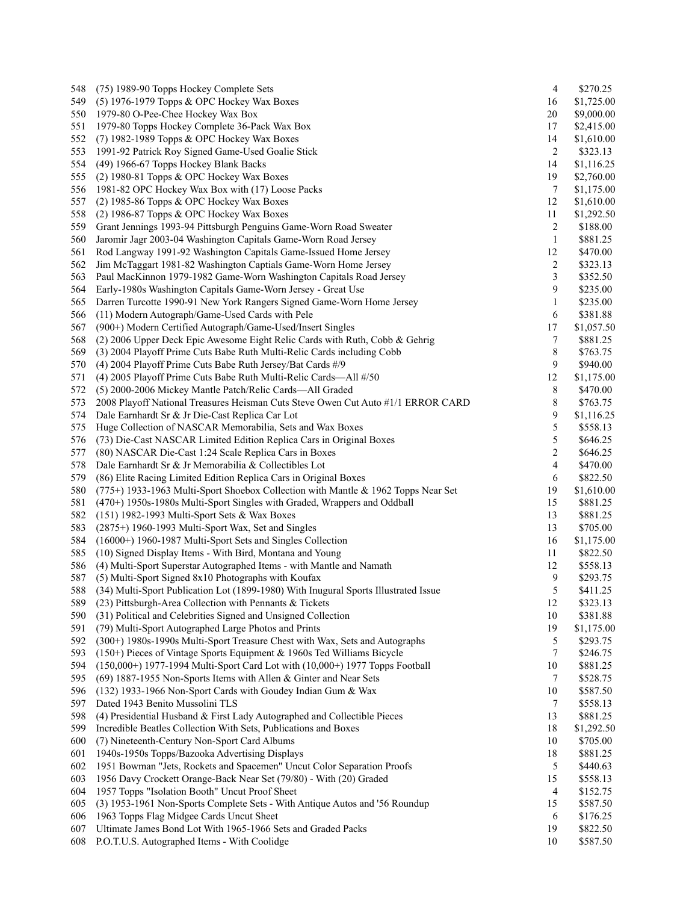| 548 | (75) 1989-90 Topps Hockey Complete Sets                                             | 4              | \$270.25   |
|-----|-------------------------------------------------------------------------------------|----------------|------------|
| 549 | (5) 1976-1979 Topps & OPC Hockey Wax Boxes                                          | 16             | \$1,725.00 |
| 550 | 1979-80 O-Pee-Chee Hockey Wax Box                                                   | 20             | \$9,000.00 |
| 551 | 1979-80 Topps Hockey Complete 36-Pack Wax Box                                       | 17             | \$2,415.00 |
| 552 | (7) 1982-1989 Topps & OPC Hockey Wax Boxes                                          | 14             | \$1,610.00 |
| 553 | 1991-92 Patrick Roy Signed Game-Used Goalie Stick                                   | 2              | \$323.13   |
| 554 | (49) 1966-67 Topps Hockey Blank Backs                                               | 14             | \$1,116.25 |
| 555 | $(2)$ 1980-81 Topps & OPC Hockey Wax Boxes                                          | 19             | \$2,760.00 |
| 556 | 1981-82 OPC Hockey Wax Box with (17) Loose Packs                                    | 7              | \$1,175.00 |
| 557 | (2) 1985-86 Topps & OPC Hockey Wax Boxes                                            | 12             | \$1,610.00 |
| 558 | (2) 1986-87 Topps & OPC Hockey Wax Boxes                                            | 11             | \$1,292.50 |
| 559 | Grant Jennings 1993-94 Pittsburgh Penguins Game-Worn Road Sweater                   | 2              | \$188.00   |
| 560 | Jaromir Jagr 2003-04 Washington Capitals Game-Worn Road Jersey                      | $\mathbf{1}$   | \$881.25   |
| 561 | Rod Langway 1991-92 Washington Capitals Game-Issued Home Jersey                     | 12             | \$470.00   |
|     |                                                                                     |                |            |
| 562 | Jim McTaggart 1981-82 Washington Captials Game-Worn Home Jersey                     | $\overline{c}$ | \$323.13   |
| 563 | Paul MacKinnon 1979-1982 Game-Worn Washington Capitals Road Jersey                  | 3              | \$352.50   |
| 564 | Early-1980s Washington Capitals Game-Worn Jersey - Great Use                        | 9              | \$235.00   |
| 565 | Darren Turcotte 1990-91 New York Rangers Signed Game-Worn Home Jersey               | $\mathbf{1}$   | \$235.00   |
| 566 | (11) Modern Autograph/Game-Used Cards with Pele                                     | 6              | \$381.88   |
| 567 | (900+) Modern Certified Autograph/Game-Used/Insert Singles                          | 17             | \$1,057.50 |
| 568 | (2) 2006 Upper Deck Epic Awesome Eight Relic Cards with Ruth, Cobb & Gehrig         | 7              | \$881.25   |
| 569 | (3) 2004 Playoff Prime Cuts Babe Ruth Multi-Relic Cards including Cobb              | 8              | \$763.75   |
| 570 | (4) 2004 Playoff Prime Cuts Babe Ruth Jersey/Bat Cards #/9                          | 9              | \$940.00   |
| 571 | (4) 2005 Playoff Prime Cuts Babe Ruth Multi-Relic Cards-All #/50                    | 12             | \$1,175.00 |
| 572 | (5) 2000-2006 Mickey Mantle Patch/Relic Cards—All Graded                            | 8              | \$470.00   |
| 573 | 2008 Playoff National Treasures Heisman Cuts Steve Owen Cut Auto #1/1 ERROR CARD    | 8              | \$763.75   |
| 574 | Dale Earnhardt Sr & Jr Die-Cast Replica Car Lot                                     | 9              | \$1,116.25 |
| 575 | Huge Collection of NASCAR Memorabilia, Sets and Wax Boxes                           | 5              | \$558.13   |
| 576 | (73) Die-Cast NASCAR Limited Edition Replica Cars in Original Boxes                 | 5              | \$646.25   |
| 577 | (80) NASCAR Die-Cast 1:24 Scale Replica Cars in Boxes                               | $\overline{c}$ | \$646.25   |
| 578 | Dale Earnhardt Sr & Jr Memorabilia & Collectibles Lot                               | 4              | \$470.00   |
| 579 | (86) Elite Racing Limited Edition Replica Cars in Original Boxes                    | 6              | \$822.50   |
| 580 | (775+) 1933-1963 Multi-Sport Shoebox Collection with Mantle & 1962 Topps Near Set   | 19             |            |
|     |                                                                                     |                | \$1,610.00 |
| 581 | $(470+)$ 1950s-1980s Multi-Sport Singles with Graded, Wrappers and Oddball          | 15             | \$881.25   |
| 582 | (151) 1982-1993 Multi-Sport Sets & Wax Boxes                                        | 13             | \$881.25   |
| 583 | $(2875+)$ 1960-1993 Multi-Sport Wax, Set and Singles                                | 13             | \$705.00   |
| 584 | (16000+) 1960-1987 Multi-Sport Sets and Singles Collection                          | 16             | \$1,175.00 |
| 585 | (10) Signed Display Items - With Bird, Montana and Young                            | 11             | \$822.50   |
| 586 | (4) Multi-Sport Superstar Autographed Items - with Mantle and Namath                | 12             | \$558.13   |
| 587 | (5) Multi-Sport Signed 8x10 Photographs with Koufax                                 | 9              | \$293.75   |
| 588 | (34) Multi-Sport Publication Lot (1899-1980) With Inugural Sports Illustrated Issue | 5              | \$411.25   |
| 589 | (23) Pittsburgh-Area Collection with Pennants & Tickets                             | 12             | \$323.13   |
| 590 | (31) Political and Celebrities Signed and Unsigned Collection                       | 10             | \$381.88   |
| 591 | (79) Multi-Sport Autographed Large Photos and Prints                                | 19             | \$1,175.00 |
| 592 | (300+) 1980s-1990s Multi-Sport Treasure Chest with Wax, Sets and Autographs         | 5              | \$293.75   |
| 593 | $(150+)$ Pieces of Vintage Sports Equipment & 1960s Ted Williams Bicycle            | 7              | \$246.75   |
| 594 | (150,000+) 1977-1994 Multi-Sport Card Lot with (10,000+) 1977 Topps Football        | 10             | \$881.25   |
| 595 | (69) 1887-1955 Non-Sports Items with Allen & Ginter and Near Sets                   | 7              | \$528.75   |
| 596 | (132) 1933-1966 Non-Sport Cards with Goudey Indian Gum & Wax                        | 10             | \$587.50   |
| 597 | Dated 1943 Benito Mussolini TLS                                                     | 7              | \$558.13   |
| 598 | (4) Presidential Husband & First Lady Autographed and Collectible Pieces            | 13             | \$881.25   |
| 599 | Incredible Beatles Collection With Sets, Publications and Boxes                     | 18             | \$1,292.50 |
| 600 | (7) Nineteenth-Century Non-Sport Card Albums                                        | 10             | \$705.00   |
|     |                                                                                     |                |            |
| 601 | 1940s-1950s Topps/Bazooka Advertising Displays                                      | 18             | \$881.25   |
| 602 | 1951 Bowman "Jets, Rockets and Spacemen" Uncut Color Separation Proofs              | 5              | \$440.63   |
| 603 | 1956 Davy Crockett Orange-Back Near Set (79/80) - With (20) Graded                  | 15             | \$558.13   |
| 604 | 1957 Topps "Isolation Booth" Uncut Proof Sheet                                      | 4              | \$152.75   |
| 605 | (3) 1953-1961 Non-Sports Complete Sets - With Antique Autos and '56 Roundup         | 15             | \$587.50   |
| 606 | 1963 Topps Flag Midgee Cards Uncut Sheet                                            | 6              | \$176.25   |
| 607 | Ultimate James Bond Lot With 1965-1966 Sets and Graded Packs                        | 19             | \$822.50   |
| 608 | P.O.T.U.S. Autographed Items - With Coolidge                                        | 10             | \$587.50   |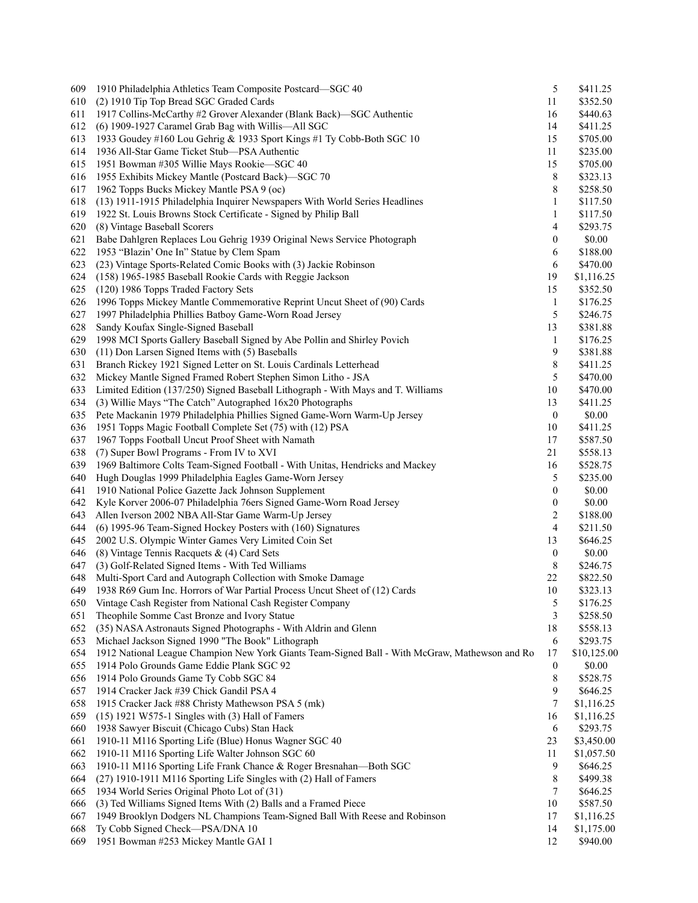| 609 | 1910 Philadelphia Athletics Team Composite Postcard-SGC 40                                     | 5                | \$411.25    |
|-----|------------------------------------------------------------------------------------------------|------------------|-------------|
| 610 | (2) 1910 Tip Top Bread SGC Graded Cards                                                        | 11               | \$352.50    |
| 611 | 1917 Collins-McCarthy #2 Grover Alexander (Blank Back)—SGC Authentic                           | 16               | \$440.63    |
| 612 | (6) 1909-1927 Caramel Grab Bag with Willis-All SGC                                             | 14               | \$411.25    |
| 613 | 1933 Goudey #160 Lou Gehrig & 1933 Sport Kings #1 Ty Cobb-Both SGC 10                          | 15               | \$705.00    |
| 614 | 1936 All-Star Game Ticket Stub-PSA Authentic                                                   | 11               | \$235.00    |
| 615 | 1951 Bowman #305 Willie Mays Rookie-SGC 40                                                     | 15               | \$705.00    |
| 616 | 1955 Exhibits Mickey Mantle (Postcard Back)-SGC 70                                             | 8                | \$323.13    |
| 617 | 1962 Topps Bucks Mickey Mantle PSA 9 (oc)                                                      | 8                | \$258.50    |
| 618 | (13) 1911-1915 Philadelphia Inquirer Newspapers With World Series Headlines                    | $\mathbf{1}$     | \$117.50    |
| 619 | 1922 St. Louis Browns Stock Certificate - Signed by Philip Ball                                | 1                | \$117.50    |
| 620 | (8) Vintage Baseball Scorers                                                                   | 4                | \$293.75    |
| 621 | Babe Dahlgren Replaces Lou Gehrig 1939 Original News Service Photograph                        |                  | \$0.00      |
|     |                                                                                                | 0                |             |
| 622 | 1953 "Blazin' One In" Statue by Clem Spam                                                      | 6                | \$188.00    |
| 623 | (23) Vintage Sports-Related Comic Books with (3) Jackie Robinson                               | 6                | \$470.00    |
| 624 | (158) 1965-1985 Baseball Rookie Cards with Reggie Jackson                                      | 19               | \$1,116.25  |
| 625 | (120) 1986 Topps Traded Factory Sets                                                           | 15               | \$352.50    |
| 626 | 1996 Topps Mickey Mantle Commemorative Reprint Uncut Sheet of (90) Cards                       | $\mathbf{1}$     | \$176.25    |
| 627 | 1997 Philadelphia Phillies Batboy Game-Worn Road Jersey                                        | 5                | \$246.75    |
| 628 | Sandy Koufax Single-Signed Baseball                                                            | 13               | \$381.88    |
| 629 | 1998 MCI Sports Gallery Baseball Signed by Abe Pollin and Shirley Povich                       | $\mathbf{1}$     | \$176.25    |
| 630 | (11) Don Larsen Signed Items with (5) Baseballs                                                | 9                | \$381.88    |
| 631 | Branch Rickey 1921 Signed Letter on St. Louis Cardinals Letterhead                             | 8                | \$411.25    |
| 632 | Mickey Mantle Signed Framed Robert Stephen Simon Litho - JSA                                   | 5                | \$470.00    |
| 633 | Limited Edition (137/250) Signed Baseball Lithograph - With Mays and T. Williams               | 10               | \$470.00    |
| 634 | (3) Willie Mays "The Catch" Autographed 16x20 Photographs                                      | 13               | \$411.25    |
| 635 | Pete Mackanin 1979 Philadelphia Phillies Signed Game-Worn Warm-Up Jersey                       | $\boldsymbol{0}$ | \$0.00      |
| 636 | 1951 Topps Magic Football Complete Set (75) with (12) PSA                                      | 10               | \$411.25    |
| 637 | 1967 Topps Football Uncut Proof Sheet with Namath                                              | 17               | \$587.50    |
| 638 | (7) Super Bowl Programs - From IV to XVI                                                       | 21               | \$558.13    |
| 639 | 1969 Baltimore Colts Team-Signed Football - With Unitas, Hendricks and Mackey                  | 16               | \$528.75    |
| 640 | Hugh Douglas 1999 Philadelphia Eagles Game-Worn Jersey                                         | 5                | \$235.00    |
| 641 | 1910 National Police Gazette Jack Johnson Supplement                                           | $\mathbf{0}$     | \$0.00      |
| 642 | Kyle Korver 2006-07 Philadelphia 76ers Signed Game-Worn Road Jersey                            | $\boldsymbol{0}$ | \$0.00      |
| 643 | Allen Iverson 2002 NBA All-Star Game Warm-Up Jersey                                            | 2                | \$188.00    |
| 644 | (6) 1995-96 Team-Signed Hockey Posters with (160) Signatures                                   | 4                | \$211.50    |
|     |                                                                                                |                  |             |
| 645 | 2002 U.S. Olympic Winter Games Very Limited Coin Set                                           | 13               | \$646.25    |
| 646 | (8) Vintage Tennis Racquets & (4) Card Sets                                                    | $\boldsymbol{0}$ | \$0.00      |
| 647 | (3) Golf-Related Signed Items - With Ted Williams                                              | 8                | \$246.75    |
| 648 | Multi-Sport Card and Autograph Collection with Smoke Damage                                    | 22               | \$822.50    |
| 649 | 1938 R69 Gum Inc. Horrors of War Partial Process Uncut Sheet of (12) Cards                     | 10               | \$323.13    |
| 650 | Vintage Cash Register from National Cash Register Company                                      | 5                | \$176.25    |
| 651 | Theophile Somme Cast Bronze and Ivory Statue                                                   | 3                | \$258.50    |
| 652 | (35) NASA Astronauts Signed Photographs - With Aldrin and Glenn                                | 18               | \$558.13    |
| 653 | Michael Jackson Signed 1990 "The Book" Lithograph                                              | 6                | \$293.75    |
| 654 | 1912 National League Champion New York Giants Team-Signed Ball - With McGraw, Mathewson and Ro | 17               | \$10,125.00 |
| 655 | 1914 Polo Grounds Game Eddie Plank SGC 92                                                      | $\boldsymbol{0}$ | \$0.00      |
| 656 | 1914 Polo Grounds Game Ty Cobb SGC 84                                                          | 8                | \$528.75    |
| 657 | 1914 Cracker Jack #39 Chick Gandil PSA 4                                                       | 9                | \$646.25    |
| 658 | 1915 Cracker Jack #88 Christy Mathewson PSA 5 (mk)                                             | 7                | \$1,116.25  |
| 659 | $(15)$ 1921 W575-1 Singles with $(3)$ Hall of Famers                                           | 16               | \$1,116.25  |
| 660 | 1938 Sawyer Biscuit (Chicago Cubs) Stan Hack                                                   | 6                | \$293.75    |
| 661 | 1910-11 M116 Sporting Life (Blue) Honus Wagner SGC 40                                          | 23               | \$3,450.00  |
| 662 | 1910-11 M116 Sporting Life Walter Johnson SGC 60                                               | 11               | \$1,057.50  |
| 663 | 1910-11 M116 Sporting Life Frank Chance & Roger Bresnahan-Both SGC                             | 9                | \$646.25    |
| 664 | (27) 1910-1911 M116 Sporting Life Singles with (2) Hall of Famers                              | 8                | \$499.38    |
| 665 | 1934 World Series Original Photo Lot of (31)                                                   | 7                | \$646.25    |
| 666 | (3) Ted Williams Signed Items With (2) Balls and a Framed Piece                                | 10               | \$587.50    |
|     |                                                                                                |                  |             |
| 667 | 1949 Brooklyn Dodgers NL Champions Team-Signed Ball With Reese and Robinson                    | 17               | \$1,116.25  |
| 668 | Ty Cobb Signed Check-PSA/DNA 10                                                                | 14               | \$1,175.00  |
| 669 | 1951 Bowman #253 Mickey Mantle GAI 1                                                           | 12               | \$940.00    |